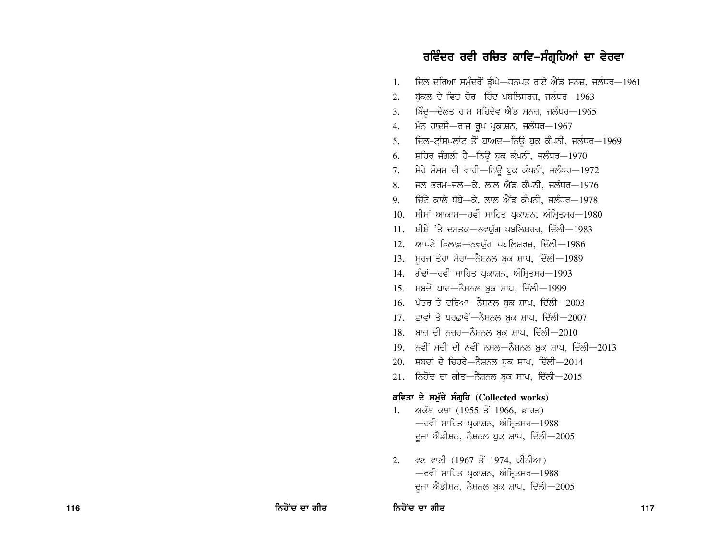### ਰਵਿੰਦਰ ਰਵੀ ਰਚਿਤ ਕਾਵਿ–ਸੰਗ੍ਰਹਿਆਂ ਦਾ ਵੇਰਵਾ

ਦਿਲ ਦਰਿਆ ਸਮੁੰਦਰੋਂ ਡੂੰਘੇ—ਧਨਪਤ ਰਾਏ ਐਂਡ ਸਨਜ਼, ਜਲੰਧਰ—1961  $1.$ ਬੱਕਲ ਦੇ ਵਿਚ ਚੋਰ-ਹਿੰਦ ਪਬਲਿਸ਼ਰਜ਼, ਜਲੰਧਰ-1963 2. ਬਿੰਦੂ—ਦੌਲਤ ਰਾਮ ਸਹਿਦੇਵ ਐਂਡ ਸਨਜ਼, ਜਲੰਧਰ—1965  $3.$ ਮੌਨ ਹਾਦਸੇ—ਰਾਜ ਰਪ ਪੁਕਾਸ਼ਨ, ਜਲੰਧਰ—1967 4. ਦਿਲ-ਟ੍ਰਾਂਸਪਲਾਂਟ ਤੋਂ ਬਾਅਦ-ਨਿਊ ਬੁਕ ਕੰਪਨੀ, ਜਲੰਧਰ-1969 5. ਸ਼ਹਿਰ ਜੰਗਲੀ ਹੈ-ਨਿਊ ਬੁਕ ਕੰਪਨੀ, ਜਲੰਧਰ-1970 6. ਮੇਰੇ ਮੌਸਮ ਦੀ ਵਾਰੀ-ਨਿਊ ਬੁਕ ਕੰਪਨੀ, ਜਲੰਧਰ-1972 7. ਜੂਲ ਭਰਮ-ਜੂਲ $-\alpha$ . ਲਾਲ ਐਂਡ ਕੰਪਨੀ, ਜੁਲੰਧਰ $-1976$ 8. ਜ਼ਿੱਟੇ ਕਾਲੇ ਧੱਬੇ—ਕੇ. ਲਾਲ ਐਂਡ ਕੰਪਨੀ. ਜੁਲੰਧਰ—1978  $9<sub>1</sub>$ 10. ਸੀਮਾਂ ਆਕਾਸ਼—ਰਵੀ ਸਾਹਿਤ ਪਕਾਸ਼ਨ, ਅੰਮਿਤਸਰ—1980  $11.$  ਸ਼ੀਸ਼ੇ 'ਤੇ ਦਸਤਕ-ਨਵਯੱਗ ਪਬਲਿਸ਼ਰਜ਼, ਦਿੱਲੀ-1983 12. ਆਪਣੇ ਖ਼ਿਲਾਫ਼-ਨਵਯੁੱਗ ਪਬਲਿਸ਼ਰਜ਼, ਦਿੱਲੀ-1986 13. ਸੂਰਜ ਤੇਰਾ ਮੇਰਾ-ਨੈਸ਼ਨਲ ਬਕ ਸ਼ਾਪ, ਦਿੱਲੀ-1989 14. ਗੰਢਾਂ—ਰਵੀ ਸਾਹਿਤ ਪ੍ਰਕਾਸ਼ਨ, ਅੰਮ੍ਰਿਤਸਰ—1993 15. ਸ਼ਬਦੋਂ ਪਾਰ-ਨੈਸ਼ਨਲ ਬਕ ਸ਼ਾਪ, ਦਿੱਲੀ-1999 16. ਪੱਤਰ ਤੇ ਦਰਿਆ-ਨੈਸ਼ਨਲ ਬਕ ਸ਼ਾਪ, ਦਿੱਲੀ-2003 17. ਛਾਵਾਂ ਤੇ ਪਰਛਾਵੇਂ—ਨੈਸ਼ਨਲ ਬਕ ਸ਼ਾਪ, ਦਿੱਲੀ—2007 18. ਬਾਜ਼ ਦੀ ਨਜ਼ਰ-ਨੈਸ਼ਨਲ ਬਕ ਸ਼ਾਪ, ਦਿੱਲੀ-2010  $19.$  ਨਵੀਂ ਸਦੀ ਦੀ ਨਵੀਂ ਨਸਲ-ਨੈਸ਼ਨਲ ਬਕ ਸ਼ਾਪ, ਦਿੱਲੀ-2013 20. ਸ਼ਬਦਾਂ ਦੇ ਚਿਹਰੇ-ਨੈਸ਼ਨਲ ਬਕ ਸ਼ਾਪ, ਦਿੱਲੀ-2014 21. ਨਿਹੋਂਦ ਦਾ ਗੀਤ-ਨੈਸ਼ਨਲ ਬਕ ਸ਼ਾਪ, ਦਿੱਲੀ-2015 ਕਵਿਤਾ ਦੇ ਸਮੁੱਚੇ ਸੰਗ੍ਰਹਿ (Collected works) 1. ਅਕੱਥ ਕਥਾ (1955 ਤੋਂ 1966, ਭਾਰਤ) —ਰਵੀ ਸਾਹਿਤ ਪੁਕਾਸ਼ਨ, ਅੰਮ੍ਰਿਤਸਰ—1988 ਦੂਜਾ ਐਡੀਸ਼ਨ, ਨੈਸ਼ਨਲ ਬੁਕ ਸ਼ਾਪ, ਦਿੱਲੀ—2005 2. ਵਣ ਵਾਣੀ (1967 ਤੋਂ 1974, ਕੀਨੀਆ)

–ਰਵੀ ਸਾਹਿਤ ਪ੍ਰਕਾਸ਼ਨ, ਅੰਮ੍ਰਿਤਸਰ–1988 ਦੂਜਾ ਐਡੀਸ਼ਨ, ਨੈਸ਼ਨਲ ਬੁਕ ਸ਼ਾਪ, ਦਿੱਲੀ-2005

ਨਿਹੋਂਦ ਦਾ ਗੀਤ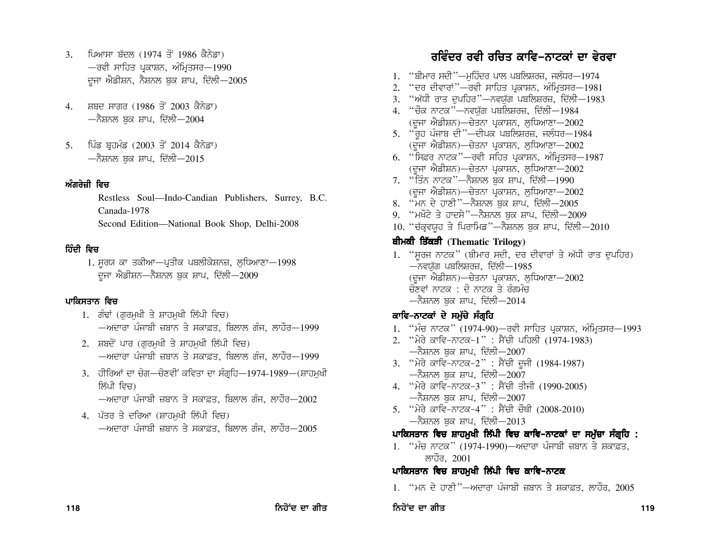- 3. ਪਿਆਸਾ ਬੱਦਲ (1974 ਤੋਂ 1986 ਕੈਨੇਡਾ)  $-$ ਰਵੀ ਸਾਹਿਤ ਪੁਕਾਸ਼ਨ, ਅੰਮ੍ਰਿਤਸਰ $-1990$ ਦਜਾ ਐਡੀਸ਼ਨ, ਨੈਸ਼ਨਲ ਬਕ ਸ਼ਾਪ, ਦਿੱਲੀ $-2005$
- 4. ਸ਼ਬਦ ਸਾਗਰ (1986 ਤੋਂ 2003 ਕੈਨੇਡਾ) —ਨੈਸ਼ਨਲ ਬਕ ਸ਼ਾਪ, ਦਿੱਲੀ—2004
- 5. ਪਿੰਡ ਬੁਹਮੰਡ (2003 ਤੋਂ 2014 ਕੈਨੇਡਾ)  $-$ ਨੈਸ਼ਨਲ ਬਕ ਸ਼ਾਪ, ਦਿੱਲੀ $-2015$

#### ਅੰਗਰੇਜ਼ੀ ਵਿਜ

Restless Soul—Indo-Candian Publishers, Surrey, B.C. Canada-1978 Second Edition—National Book Shop, Delhi-2008

#### ਹਿੰਦੀ ਵਿਚ

1. ਸੂਰਯ ਕਾ ਤਕੀਆ—ਪ੍ਰਤੀਕ ਪਬਲੀਕੇਸ਼ਨਜ਼, ਲੁਧਿਆਣਾ—1998 ਦਜਾ ਐਡੀਸ਼ਨ—ਨੈਸ਼ਨਲ ਬਕ ਸ਼ਾਪ, ਦਿੱਲੀ—2009

#### ਪਾਕਿਸਤਾਨ ਵਿਚ

- 1. ਗੰਢਾਂ (ਗਰਮਖੀ ਤੇ ਸ਼ਾਹਮਖੀ ਲਿੱਪੀ ਵਿਚ) —ਅਦਾਰਾ ਪੰਜਾਬੀ ਜ਼ਬਾਨ ਤੇ ਸਕਾਫ਼ਤ. ਬਿਲਾਲ ਗੰਜ. ਲਾਹੌਰ—1999
- 2. ਸ਼ਬਦੋਂ ਪਾਰ (ਗਰਮਖੀ ਤੇ ਸ਼ਾਹਮਖੀ ਲਿੱਪੀ ਵਿਚ)  $-$ ਅਦਾਰਾ ਪੰਜਾਬੀ ਜ਼ਬਾਨ ਤੇ ਸਕਾਫ਼ਤ, ਬਿਲਾਲ ਗੰਜ, ਲਾਹੌਰ $-1999$
- 3. ਹੀਰਿਆਂ ਦਾ ਚੋਗ—ਚੋਣਵੀਂ ਕਵਿਤਾ ਦਾ ਸੰਗੁਹਿ—1974-1989—(ਸ਼ਾਹਮਖੀ ਲਿੱਪੀ ਵਿਜ)  $-$ ਅਦਾਰਾ ਪੰਜਾਬੀ ਜ਼ਬਾਨ ਤੇ ਸਕਾਫ਼ਤ, ਬਿਲਾਲ ਗੰਜ, ਲਾਹੌਰ $-2002$
- 4. ਪੱਤਰ ਤੇ ਦਰਿਆ (ਸ਼ਾਹਮਖੀ ਲਿੱਪੀ ਵਿਚ)  $-$ ਅਦਾਰਾ ਪੰਜਾਬੀ ਜ਼ਬਾਨ ਤੇ ਸਕਾਫ਼ਤ, ਬਿਲਾਲ ਗੰਜ, ਲਾਹੌਰ $-2005$

## **ਰਵਿੰਦਰ ਰਵੀ ਰਚਿਤ ਕਾਵਿ–ਨਾਟਕਾਂ ਦਾ ਵੇਰਵਾ**

- $1.$  "ਬੀਮਾਰ ਸਦੀ "—ਮਹਿੰਦਰ ਪਾਲ ਪਬਲਿਸ਼ਰਜ਼, ਜਲੰਧਰ—1974
- 2. "ਦਰ ਦੀਵਾਰਾਂ"—ਰਵੀ ਸਾਹਿਤ ਪ੍ਰਕਾਸ਼ਨ, ਅੰਮ੍ਰਿਤਸਰ—1981
- 3. "ਅੱਧੀ ਰਾਤ ਦੁਪਹਿਰ"—ਨਵਯੁੱਗ ਪਬਲਿਸ਼ਰਜ਼, ਦਿੱਲੀ $-1983$
- 4. "ਚੌਕ ਨਾਟਕ"—ਨਵਯੁੱਗ ਪਬਲਿਸ਼ਰਜ਼, ਦਿੱਲੀ-1984  $(\overline{v}$ ਜਾ ਐਡੀਸ਼ਨ)—ਚੇਤਨਾ ਪ੍ਰਕਾਸ਼ਨ, ਲੁਧਿਆਣਾ—2002
- 5.  $\degree$ ਰਹ ਪੰਜਾਬ ਦੀ "—ਦੀਪਕ ਪਬਲਿਸ਼ਰਜ਼, ਜਲੰਧਰ—1984  $(\overline{e}$ ਜਾ ਐਡੀਸ਼ਨ)—ਚੇਤਨਾ ਪ੍ਰਕਾਸ਼ਨ, ਲਧਿਆਣਾ—2002
- $6.$  "ਸਿਫ਼ਰ ਨਾਟਕ $"$ —ਰਵੀ ਸਹਿਤ ਪ੍ਰਕਾਸ਼ਨ, ਅੰਮ੍ਰਿਤਸਰ $-1987$  $(\overline{v}$ ਦਜਾ ਐਡੀਸ਼ਨ)—ਚੇਤਨਾ ਪ੍ਰਕਾਸ਼ਨ, ਲਧਿਆਣਾ—2002
- 7. "ਤਿੰਨ ਨਾਟਕ"—ਨੈਸ਼ਨਲ ਬਕ ਸ਼ਾਪ, ਦਿੱਲੀ—1990  $(\overline{e}$ ਜਾ ਐਡੀਸ਼ਨ)—ਚੇਤਨਾ ਪ੍ਰਕਾਸ਼ਨ, ਲੁਧਿਆਣਾ—2002
- 8. "ਮਨ ਦੇ ਹਾਣੀ"—ਨੈਸ਼ਨਲ ਬੁਕ ਸ਼ਾਪ, ਦਿੱਲੀ—2005
- 9. "ਮਖੌਟੇ ਤੇ ਹਾਦਸੇ"—ਨੈਸ਼ਨਲ ਬਕ ਸ਼ਾਪ, ਦਿੱਲੀ—2009
- $10.$  "ਚੱਕ੍ਰਵਯੁਹ ਤੇ ਪਿਰਾਮਿਡ"—ਨੈਸ਼ਨਲ ਬੁਕ ਸ਼ਾਪ, ਦਿੱਲੀ-2010

#### **ਬੀਮਕੀ ਤਿੱਕੜੀ** (Thematic Trilogy)

1. "ਸੂਰਜ ਨਾਟਕ" (ਬੀਮਾਰ ਸਦੀ, ਦਰ ਦੀਵਾਰਾਂ ਤੇ ਅੱਧੀ ਰਾਤ ਦੁਪਹਿਰ)  $-$ ਨਵਯੱਗ ਪਬਲਿਸ਼ਰਜ਼, ਦਿੱਲੀ $-1985$  $(\overline{y}$ ਜਾ ਐਡੀਸ਼ਨ)—ਚੇਤਨਾ ਪ੍ਰਕਾਸ਼ਨ, ਲੁਧਿਆਣਾ—2002 ਚੋਣਵਾਂ ਨਾਟਕ : ਦੋ ਨਾਟਕ ਤੇ ਰੰਗਮੰਚ —ਨੈਸ਼ਨਲ ਬਕ ਸ਼ਾਪ, ਦਿੱਲੀ—2014

#### ਕਾਵਿ–ਨਾਟਕਾਂ ਦੇ ਸਮੁੱਚੇ ਸੰਗ੍ਰਹਿ

- 1. "ਮੰਚ ਨਾਟਕ" (1974-90)—ਰਵੀ ਸਾਹਿਤ ਪ੍ਰਕਾਸ਼ਨ, ਅੰਮ੍ਰਿਤਸਰ—1993
- 2. "ਮੇਰੇ ਕਾਵਿ-ਨਾਟਕ-1" : ਸੈਂਚੀ ਪਹਿਲੀ (1974-1983)  $-$ ਨੈਸ਼ਨਲ ਬਕ ਸ਼ਾਪ, ਦਿੱਲੀ $-2007$
- 3. "ਮੇਰੇ ਕਾਵਿ-ਨਾਟਕ-2" : ਸੈਂਚੀ ਦੂਜੀ (1984-1987)  $-$ ਨੈਸ਼ਨਲ ਬੁਕ ਸ਼ਾਪ, ਦਿੱਲੀ $-2007$
- 4. "ਮੇਰੇ ਕਾਵਿ-ਨਾਟਕ-3" : ਸੈਂਚੀ ਤੀਜੀ (1990-2005)  $-$ ਨੈਸ਼ਨਲ ਬੁਕ ਸ਼ਾਪ, ਦਿੱਲੀ $-2007$
- 5. ''ਮੇਰੇ ਕਾਵਿ-ਨਾਟਕ-4'' : ਸੈਂਚੀ ਚੌਥੀ (2008-2010)  $-$ ਨੈਸ਼ਨਲ ਬਕ ਸ਼ਾਪ, ਦਿੱਲੀ $-2013$

#### ਪਾਕਿਸਤਾਨ ਵਿਚ ਸ਼ਾਹਮੁਖੀ ਲਿੱਪੀ ਵਿਚ ਕਾਵਿ-ਨਾਟਕਾਂ ਦਾ ਸਮੁੱਚਾ ਸੰਗ੍ਰਹਿ :

1. "ਮੰਚ ਨਾਟਕ" (1974-1990)—ਅਦਾਰਾ ਪੰਜਾਬੀ ਜ਼ਬਾਨ ਤੇ ਸ਼ਕਾਫ਼ਤ, ਲਾਹੌਰ, 2001

#### ਪਾਕਿਸਤਾਨ ਵਿਚ ਸ਼ਾਹਮੁਖੀ ਲਿੱਪੀ ਵਿਚ ਕਾਵਿ-ਨਾਟਕ

 $1.$  "ਮਨ ਦੇ ਹਾਣੀ''—ਅਦਾਰਾ ਪੰਜਾਬੀ ਜ਼ਬਾਨ ਤੇ ਸ਼ਕਾਫ਼ਤ, ਲਾਹੌਰ, 2005

#### 118 ਕਿਹੋਂਦ ਦਾ ਗੀਤ ਕਰਨਿਹੋਂਦ ਦਾ ਗੀਤ ਕਰਨਿਹੋਂਦ ਦਾ ਗੀਤ ਕਰਨਿਹੋਂਦ ਦਾ ਗੀਤ ਕਰਨਿਹੋਂਦ ਦਾ ਗੀਤ ਕਰਨਿਹੋਂਦ ਦਾ ਗੀਤ ਕਰਨਿਹੋਂਦ ਦਾ ਗ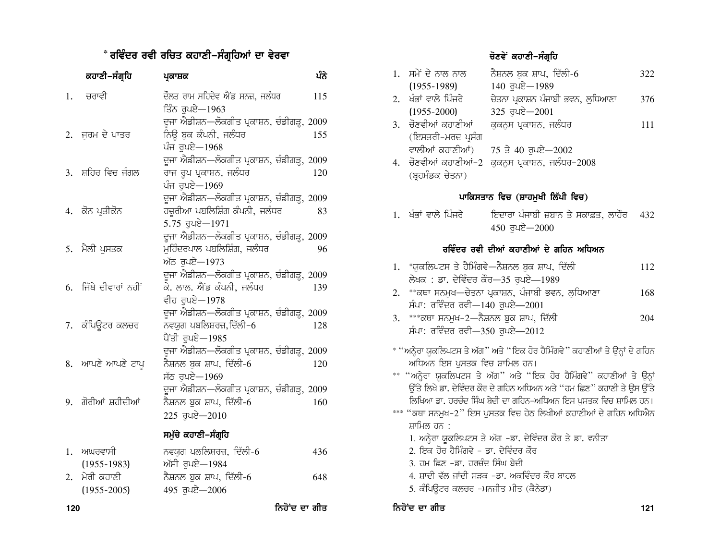#### \* ਰਵਿੰਦਰ ਰਵੀ ਰਚਿਤ ਕਹਾਣੀ–ਸੰਗ੍ਰਹਿਆਂ ਦਾ ਵੇਰਵਾ

|     | ਕਹਾਣੀ–ਸੰਗ੍ਰਹਿ                 | ਪ੍ਰਕਾਸ਼ਕ                                                                                               | ਪੰਨੇ          |
|-----|-------------------------------|--------------------------------------------------------------------------------------------------------|---------------|
| 1.  | ਚਰਾਵੀ                         | ਦੌਲਤ ਰਾਮ ਸਹਿਦੇਵ ਐਂਡ ਸਨਜ਼, ਜਲੰਧਰ<br>ਤਿੰਨ ਰਪਏ—1963                                                       | 115           |
|     | 2. ਜਰਮ ਦੇ ਪਾਤਰ                | ਦੂਜਾ ਐਡੀਸ਼ਨ—ਲੋਕਗੀਤ ਪ੍ਰਕਾਸ਼ਨ, ਚੰਡੀਗੜ੍ਹ, 2009<br>ਨਿਊ ਬੂਕ ਕੰਪਨੀ, ਜਲੰਧਰ<br>ਪੰਜ ਰਪਏ-1968                    | 155           |
| 3.  | ਸ਼ਹਿਰ ਵਿਚ ਜੰਗਲ                | ਦੂਜਾ ਐਡੀਸ਼ਨ—ਲੋਕਗੀਤ ਪ੍ਰਕਾਸ਼ਨ, ਚੰਡੀਗੜ੍ਹ, 2009<br>ਰਾਜ ਰੂਪ ਪ੍ਰਕਾਸ਼ਨ, ਜਲੰਧਰ<br>ਪੰਜ ਰਪਏ-1969                 | 120           |
|     | 4. ਕੋਨ ਪ੍ਰਤੀਕੋਨ               | ਦੂਜਾ ਐਡੀਸ਼ਨ—ਲੋਕਗੀਤ ਪ੍ਰਕਾਸ਼ਨ, ਚੰਡੀਗੜ੍ਹ, 2009<br>ਹਜ਼ੁਰੀਆ ਪਬਲਿਸ਼ਿੰਗ ਕੰਪਨੀ, ਜਲੰਧਰ<br>$5.75$ ਰੁਪਏ $-1971$   | 83            |
|     | 5. ਮੈਲੀ ਪੁਸਤਕ                 | ਦੂਜਾ ਐਡੀਸ਼ਨ—ਲੋਕਗੀਤ ਪ੍ਰਕਾਸ਼ਨ, ਚੰਡੀਗੜ੍ਹ, 2009<br>ਮੁਹਿੰਦਰਪਾਲ ਪਬਲਿਸ਼ਿੰਗ, ਜਲੰਧਰ<br>ਅੱਠ ਰਪਏ-1973             | 96            |
| 6.  | ਜਿੱਥੇ ਦੀਵਾਰਾਂ ਨਹੀਂ            | ਦੂਜਾ ਐਡੀਸ਼ਨ—ਲੋਕਗੀਤ ਪ੍ਰਕਾਸ਼ਨ, ਚੰਡੀਗੜ੍ਹ, 2009<br>ਕੇ. ਲਾਲ. ਐਂਡ ਕੰਪਨੀ, ਜਲੰਧਰ<br>ਵੀਹ ਰਪਏ-1978               | 139           |
|     | 7. ਕੰਪਿਉਟਰ ਕਲਚਰ               | ਦੂਜਾ ਐਡੀਸ਼ਨ—ਲੋਕਗੀਤ ਪ੍ਰਕਾਸ਼ਨ, ਚੰਡੀਗੜ੍ਹ, 2009<br>ਨਵਯਗ ਪਬਲਿਸ਼ਰਜ਼,ਦਿੱਲੀ-6<br>ਪੈਂਤੀ ਰੁਪਏ-1985               | 128           |
|     | 8. ਆਪਣੇ ਆਪਣੇ ਟਾਪੂ             | ਦੂਜਾ ਐਡੀਸ਼ਨ—ਲੋਕਗੀਤ ਪ੍ਰਕਾਸ਼ਨ, ਚੰਡੀਗੜ੍ਹ, 2009<br>ਨੈਸ਼ਨਲ ਬੁਕ ਸ਼ਾਪ, ਦਿੱਲੀ <i>-</i> 6<br>ਸੱਠ ਰੁਪਏ-1969      | 120           |
| 9.  | ਗੋਰੀਆਂ ਸ਼ਹੀਦੀਆਂ               | ਦੂਜਾ ਐਡੀਸ਼ਨ—ਲੋਕਗੀਤ ਪ੍ਰਕਾਸ਼ਨ, ਚੰਡੀਗੜ੍ਹ, 2009<br>ਨੈਸ਼ਨਲ ਬੁਕ ਸ਼ਾਪ, ਦਿੱਲੀ <i>-</i> 6<br>$225$ ਰੁਪਏ $-2010$ | 160           |
|     |                               | ਸਮੁੱਚੇ ਕਹਾਣੀ–ਸੰਗ੍ਰਹਿ                                                                                   |               |
| 1.  | ਅਘਰਵਾਸੀ<br>$(1955 - 1983)$    | ਨਵਯੁਗ ਪਲਲਿਸ਼ਰਜ਼, ਦਿੱਲੀ-6<br>ਅੱਸੀ ਰੁਪਏ—1984                                                             | 436           |
| 2.  | ਮੇਰੀ ਕਹਾਣੀ<br>$(1955 - 2005)$ | ਨੈਸ਼ਨਲ ਬੁਕ ਸ਼ਾਪ, ਦਿੱਲੀ-6<br>$495$ ਰੁਪਏ $-2006$                                                         | 648           |
| 120 |                               |                                                                                                        | ਨਿਹੋਂਦ ਦਾ ਗੀਤ |

#### ਚੋਣਵੇਂ ਕਹਾਣੀ–ਸੰਗ੍ਰਹਿ

|                  | 1. ਸਮੇਂ ਦੇ ਨਾਲ ਨਾਲ   | ਨੈਸ਼ਨਲ ਬੁਕ ਸ਼ਾਪ, ਦਿੱਲੀ-6                       | 322 |
|------------------|----------------------|------------------------------------------------|-----|
|                  | $(1955 - 1989)$      | $140$ ਰਪਏ $-1989$                              |     |
|                  | 2. ਖੰਭਾਂ ਵਾਲੇ ਪਿੰਜਰੇ | ਚੇਤਨਾ ਪ੍ਰਕਾਸ਼ਨ ਪੰਜਾਬੀ ਭਵਨ, ਲੁਧਿਆਣਾ             | 376 |
|                  | $(1955 - 2000)$      | $325$ ਰੁਪਏ $-2001$                             |     |
|                  | 3. ਚੋਣਵੀਆਂ ਕਹਾਣੀਆਂ   | ਕਕਨਸ ਪ੍ਰਕਾਸ਼ਨ, ਜਲੰਧਰ                           | 111 |
|                  | (ਇਸਤਰੀ-ਮਰਦ ਪ੍ਰਸੰਗ    |                                                |     |
|                  | ਵਾਲੀਆਂ ਕਹਾਣੀਆਂ)      | 75 ਤੇ 40 ਰਪਏ $-2002$                           |     |
| $\overline{4}$ . |                      | ਚੋਣਵੀਆਂ ਕਹਾਣੀਆਂ−2  ਕੁਕਨੁਸ ਪ੍ਰਕਾਸ਼ਨ, ਜਲੰਧਰ−2008 |     |
|                  | (ਬੁਹਮੰਡਕ ਚੇਤਨਾ)      |                                                |     |

#### ਪਾਕਿਸਤਾਨ ਵਿਚ (ਸ਼ਾਹਮਖੀ ਲਿੱਪੀ ਵਿਚ)

ਇਦਾਰਾ ਪੰਜਾਬੀ ਜ਼ਬਾਨ ਤੇ ਸਕਾਫ਼ਤ, ਲਾਹੌਰ = 432 1. ਖੰਭਾਂ ਵਾਲੇ ਪਿੰਜਰੇ  $450$  ਰੁਪਏ $-2000$ 

#### ਰਵਿੰਦਰ ਰਵੀ ਦੀਆਂ ਕਹਾਣੀਆਂ ਦੇ ਗਹਿਨ ਅਧਿਅਨ

| 1. *ਯਕਲਿਪਟਸ ਤੇ ਹੈਮਿੰਗਵੇ—ਨੈਸ਼ਨਲ ਬੁਕ ਸ਼ਾਪ, ਦਿੱਲੀ         | 112 |
|--------------------------------------------------------|-----|
| ਲੇਖਕ : ਡਾ. ਦੇਵਿੰਦਰ ਕੌਰ—35 ਰੁਪਏ—1989                    |     |
| $2 \rightarrow *$ ਰਥਾ ਸਨਮ–ਰੇਟਸ ਮਗਸਨ ਮੰਗਾਬੀ ਭਵਨ ਲੁਧਿਆਣਾ | 16Q |

- 2. \*\*ਕਥਾ ਸਨਮੁਖ—ਚੇਤਨਾ ਪ੍ਰਕਾਸ਼ਨ, ਪੰਜਾਬੀ ਭਵਨ, ਲੁਧਿਆਣਾ 168 ਸੰਪਾ: ਰਵਿੰਦਰ ਰਵੀ-140 ਰੁਪਏ-2001
- 3. \*\*\*ਕਥਾ ਸਨਮੁਖ-2-ਨੈਸ਼ਨਲ ਬੁਕ ਸ਼ਾਪ, ਦਿੱਲੀ 204 ਸੰਪਾ: ਰਵਿੰਦਰ ਰਵੀ-350 ਰੁਪਏ-2012
- \* ''ਅਨ੍ਹੇਰਾ ਯੁਕਲਿਪਟਸ ਤੇ ਅੱਗ'' ਅਤੇ ''ਇਕ ਹੋਰ ਹੈਮਿੰਗਵੇ'' ਕਹਾਣੀਆਂ ਤੇ ਉਨ੍ਹਾਂ ਦੇ ਗਹਿਨ ਅਧਿਅਨ ਇਸ ਪੁਸਤਕ ਵਿਚ ਸ਼ਾਮਿਲ ਹਨ।
- \*\* "ਅਨ੍ਹੇਰਾ ਯੁਕਲਿਪਟਸ ਤੇ ਅੱਗ" ਅਤੇ "ਇਕ ਹੋਰ ਹੈਮਿੰਗਵੇ" ਕਹਾਣੀਆਂ ਤੇ ਉਨ੍ਹਾਂ ਉੱਤੇ ਲਿਖੇ ਡਾ. ਦੇਵਿੰਦਰ ਕੌਰ ਦੇ ਗਹਿਨ ਅਧਿਅਨ ਅਤੇ "ਹਮ ਛਿਣ" ਕਹਾਣੀ ਤੇ ਉਸ ਉੱਤੇ ਲਿਖਿਆ ਡਾ. ਹਰਚੰਦ ਸਿੰਘ ਬੇਦੀ ਦਾ ਗਹਿਨ-ਅਧਿਅਨ ਇਸ ਪੁਸਤਕ ਵਿਚ ਸ਼ਾਮਿਲ ਹਨ।
- \*\*\* "ਕਥਾ ਸਨਮੁਖ-2" ਇਸ ਪੁਸਤਕ ਵਿਚ ਹੇਠ ਲਿਖੀਆਂ ਕਹਾਣੀਆਂ ਦੇ ਗਹਿਨ ਅਧਿਐਨ ਸ਼ਾਮਿਲ ਹਨ :
	- 1. ਅਨ੍ਹੇਰਾ ਯੁਕਲਿਪਟਸ ਤੇ ਅੱਗ -ਡਾ. ਦੇਵਿੰਦਰ ਕੌਰ ਤੇ ਡਾ. ਵਨੀਤਾ
	- 2. ਇਕ ਹੋਰ ਹੈਮਿੰਗਵੇ ਡਾ. ਦੇਵਿੰਦਰ ਕੌਰ
	- 3. ਹਮ ਛਿਣ -ਡਾ. ਹਰਚੰਦ ਸਿੰਘ ਬੇਦੀ
	- 4. ਸ਼ਾਦੀ ਵੱਲ ਜਾਂਦੀ ਸੜਕ -ਡਾ. ਅਕਵਿੰਦਰ ਕੌਰ ਬਾਹਲ
	- 5. ਕੰਪਿਉਟਰ ਕਲਚਰ -ਮਨਜੀਤ ਮੀਤ (ਕੈਨੇਡਾ)

ਨਿਹੋਂਦ ਦਾ ਗੀਤ

121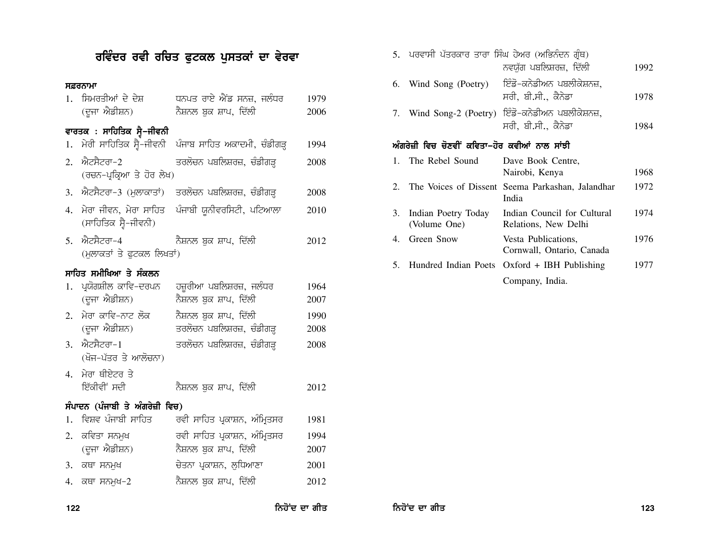# ਰਵਿੰਦਰ ਰਵੀ ਰਚਿਤ ਫੁਟਕਲ ਪੁਸਤਕਾਂ ਦਾ ਵੇਰਵਾ

#### ਸਫ਼ਰਨਾਮਾ

| 1. | ਸਿਮਰਤੀਆਂ ਦੇ ਦੇਸ਼<br>(ਦੂਜਾ ਐਡੀਸ਼ਨ)      | ਧਨਪਤ ਰਾਏ ਐਂਡ ਸਨਜ਼, ਜਲੰਧਰ<br>ਨੈਸ਼ਨਲ ਬੁਕ ਸ਼ਾਪ, ਦਿੱਲੀ      | 1979<br>2006 |
|----|----------------------------------------|---------------------------------------------------------|--------------|
|    | ਵਾਰਤਕ : ਸਾਹਿਤਿਕ ਸ੍ਵੈ–ਜੀਵਨੀ             |                                                         |              |
| 1. | ਮੇਰੀ ਸਾਹਿਤਿਕ ਸ੍ਵੈ-ਜੀਵਨੀ                | ਪੰਜਾਬ ਸਾਹਿਤ ਅਕਾਦਮੀ, ਚੰਡੀਗੜ੍ਹ                            | 1994         |
| 2. | ਐਟਸੈਟਰਾ–2<br>(ਰਚਨ–ਪ੍ਰਕ੍ਰਿਆ ਤੇ ਹੋਰ ਲੇਖ) | ਤਰਲੋਚਨ ਪਬਲਿਸ਼ਰਜ਼, ਚੰਡੀਗੜ੍ਹ                              | 2008         |
|    |                                        | 3. ਐਟਸੈਟਰਾ-3 (ਮੁਲਾਕਾਤਾਂ) ਤਰਲੋਚਨ ਪਬਲਿਸ਼ਰਜ਼, ਚੰਡੀਗੜ੍ਹ     | 2008         |
| 4. | (ਸਾਹਿਤਿਕ ਸ੍ਵੈ-ਜੀਵਨੀ)                   | ਮੇਰਾ ਜੀਵਨ, ਮੇਰਾ ਸਾਹਿਤ ਪੰਜਾਬੀ ਯੂਨੀਵਰਸਿਟੀ, ਪਟਿਆਲਾ         | 2010         |
| 5. | ਐਟਸੈਟਰਾ–4<br>(ਮੁਲਾਕਤਾਂ ਤੇ ਫਟਕਲ ਲਿਖਤਾਂ) | ਨੈਸ਼ਨਲ ਬਕ ਸ਼ਾਪ, ਦਿੱਲੀ                                   | 2012         |
|    | ਸਾਹਿਤ ਸਮੀਖਿਆ ਤੇ ਸੰਕਲਨ                  |                                                         |              |
| 1. | ਪ੍ਰਯੋਗਸ਼ੀਲ ਕਾਵਿ-ਦਰਪਨ<br>(ਦੂਜਾ ਐਡੀਸ਼ਨ)  | ਹਜ਼ੁਰੀਆ ਪਬਲਿਸ਼ਰਜ਼, ਜਲੰਧਰ<br>ਨੈਸ਼ਨਲ ਬੁਕ ਸ਼ਾਪ, ਦਿੱਲੀ      | 1964<br>2007 |
| 2. | ਮੇਰਾ ਕਾਵਿ-ਨਾਟ ਲੋਕ<br>(ਦੂਜਾ ਐਡੀਸ਼ਨ)     | ਨੈਸ਼ਨਲ ਬੁਕ ਸ਼ਾਪ, ਦਿੱਲੀ<br>ਤਰਲੋਚਨ ਪਬਲਿਸ਼ਰਜ਼, ਚੰਡੀਗੜ੍ਹ    | 1990<br>2008 |
| 3. | ਐਟਸੈਟਰਾ-1<br>(ਖੋਜ-ਪੱਤਰ ਤੇ ਆਲੋਚਨਾ)      | ਤਰਲੋਚਨ ਪਬਲਿਸ਼ਰਜ਼, ਚੰਡੀਗੜ੍ਹ                              | 2008         |
| 4. | ਮੇਰਾ ਥੀਏਟਰ ਤੇ<br>ਇੱਕੀਵੀਂ ਸਦੀ           | ਨੈਸ਼ਨਲ ਬੁਕ ਸ਼ਾਪ, ਦਿੱਲੀ                                  | 2012         |
|    | ਸੰਪਾਦਨ (ਪੰਜਾਬੀ ਤੇ ਅੰਗਰੇਜ਼ੀ ਵਿਚ)        |                                                         |              |
| 1. | ਵਿਸ਼ਵ ਪੰਜਾਬੀ ਸਾਹਿਤ                     | ਰਵੀ ਸਾਹਿਤ ਪ੍ਰਕਾਸ਼ਨ, ਅੰਮ੍ਰਿਤਸਰ                           | 1981         |
| 2. | ਕਵਿਤਾ ਸਨਮੁਖ<br>(ਦੂਜਾ ਐਡੀਸ਼ਨ)           | ਰਵੀ ਸਾਹਿਤ ਪ੍ਰਕਾਸ਼ਨ, ਅੰਮ੍ਰਿਤਸਰ<br>ਨੈਸ਼ਨਲ ਬੁਕ ਸ਼ਾਪ, ਦਿੱਲੀ | 1994<br>2007 |
| 3. | ਕਥਾ ਸਨਮੁਖ                              | ਚੇਤਨਾ ਪ੍ਰਕਾਸ਼ਨ, ਲੁਧਿਆਣਾ                                 | 2001         |
| 4. | ਕਥਾ ਸਨਮੁਖ-2                            | ਨੈਸ਼ਨਲ ਬੁਕ ਸ਼ਾਪ, ਦਿੱਲੀ                                  | 2012         |
|    |                                        |                                                         |              |

|  | 5. ਪਰਵਾਸੀ ਪੱਤਰਕਾਰ ਤਾਰਾ ਸਿੰਘ ਹੇਅਰ (ਅਭਿਨੰਦਨ ਗ੍ਰੰਥ) |                                                   |      |
|--|--------------------------------------------------|---------------------------------------------------|------|
|  |                                                  | ਨਵਯੱਗ ਪਬਲਿਸ਼ਰਜ਼, ਦਿੱਲੀ                            | 1992 |
|  | 6. Wind Song (Poetry)                            | ਇੰਡੋ–ਕਨੇਡੀਅਨ ਪਬਲੀਕੇਸ਼ਨਜ਼,                         |      |
|  |                                                  | ਸਰੀ, ਬੀ.ਸੀ., ਕੈਨੇਡਾ                               | 1978 |
|  |                                                  | 7. Wind Song-2 (Poetry) ਇੰਡੋ-ਕਨੇਡੀਅਨ ਪਬਲੀਕੇਸ਼ਨਜ਼, |      |
|  |                                                  | ਸਰੀ, ਬੀ.ਸੀ., ਕੈਨੇਡਾ                               | 1984 |
|  |                                                  |                                                   |      |

#### ਅੰਗਰੇਜ਼ੀ ਵਿਚ ਚੋਣਵੀਂ ਕਵਿਤਾ–ਹੋਰ ਕਵੀਆਂ ਨਾਲ ਸਾਂਝੀ

| $\mathbf{1}$ . | The Rebel Sound                        | Dave Book Centre,<br>Nairobi, Kenya                          | 1968 |
|----------------|----------------------------------------|--------------------------------------------------------------|------|
|                |                                        | 2. The Voices of Dissent Seema Parkashan, Jalandhar<br>India | 1972 |
|                | 3. Indian Poetry Today<br>(Volume One) | Indian Council for Cultural<br>Relations, New Delhi          | 1974 |
|                | Green Snow                             | Vesta Publications,<br>Cornwall, Ontario, Canada             | 1976 |
|                |                                        | 5. Hundred Indian Poets Oxford + IBH Publishing              | 1977 |
|                |                                        | Company, India.                                              |      |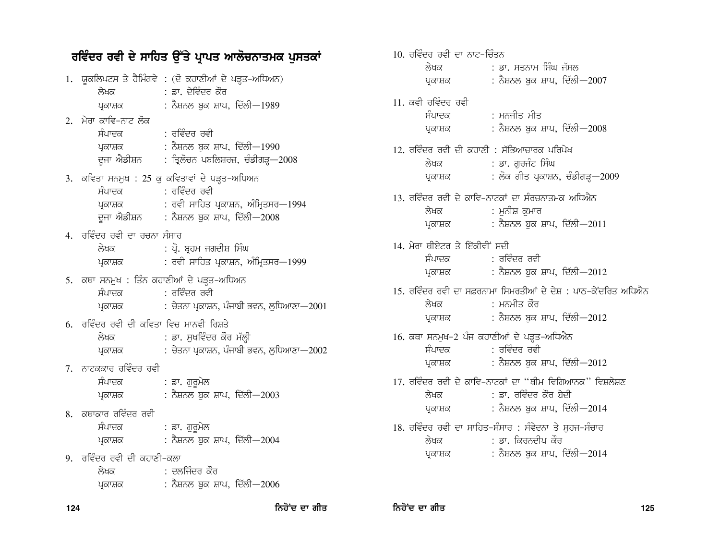ਰਵਿੰਦਰ ਰਵੀ ਦੇ ਸਾਹਿਤ ਉੱਤੇ ਪ੍ਰਾਪਤ ਆਲੋਚਨਾਤਮਕ ਪੁਸਤਕਾਂ 1. ਯੁਕਲਿਪਟਸ ਤੇ ਹੈਮਿੰਗਵੇ : (ਦੋ ਕਹਾਣੀਆਂ ਦੇ ਪੜ੍ਹਤ-ਅਧਿਅਨ) : ਡਾ. ਦੇਵਿੰਦਰ ਕੌਰ ਲੇਖਕ : ਨੈਸ਼ਨਲ ਬਕ ਸ਼ਾਪ, ਦਿੱਲੀ—1989 ਪਕਾਸ਼ਕ 2. ਮੇਰਾ ਕਾਵਿ-ਨਾਟ ਲੋਕ ਸੰਪਾਦਕ · ਰਵਿੰਦਰ ਰਵੀ : ਨੈਸ਼ਨਲ ਬਕ ਸ਼ਾਪ, ਦਿੱਲੀ—1990 ਪਕਾਸ਼ਕ : ਤਿਲੋਚਨ ਪਬਲਿਸ਼ਰਜ਼, ਚੰਡੀਗੜ—2008 ਦਜਾ ਐਡੀਸ਼ਨ 3. ਕਵਿਤਾ ਸਨਮੁਖ : 25 ਕੁ ਕਵਿਤਾਵਾਂ ਦੇ ਪੜਤ-ਅਧਿਅਨ ਸੰਪਾਦਕ · ਰਵਿੰਦਰ ਰਵੀ : ਰਵੀ ਸਾਹਿਤ ਪਕਾਸ਼ਨ, ਅੰਮਿਤਸਰ—1994 ਪਕਾਸ਼ਕ : ਨੈਸ਼ਨਲ ਬੁਕ ਸ਼ਾਪ, ਦਿੱਲੀ—2008 ਦੂਜਾ ਐਡੀਸ਼ਨ 4. ਰਵਿੰਦਰ ਰਵੀ ਦਾ ਰਚਨਾ ਸੰਸਾਰ : ਪੋ. ਬਹਮ ਜਗਦੀਸ਼ ਸਿੰਘ ਲੇਖਕ : ਰਵੀ ਸਾਹਿਤ ਪ੍ਰਕਾਸ਼ਨ, ਅੰਮ੍ਰਿਤਸਰ—1999 ਪ੍ਰਕਾਸ਼ਕ 5. ਕਥਾ ਸਨਮੁਖ : ਤਿੰਨ ਕਹਾਣੀਆਂ ਦੇ ਪੜ੍ਹਤ-ਅਧਿਅਨ ਸੰਪਾਦਕ : ਰਵਿੰਦਰ ਰਵੀ : ਚੇਤਨਾ ਪ੍ਰਕਾਸ਼ਨ, ਪੰਜਾਬੀ ਭਵਨ, ਲਧਿਆਣਾ—2001 ਪਕਾਸ਼ਕ 6. ਰਵਿੰਦਰ ਰਵੀ ਦੀ ਕਵਿਤਾ ਵਿਚ ਮਾਨਵੀ ਰਿਸ਼ਤੇ ਲੇਖਕ : ਡਾ. ਸਖਵਿੰਦਰ ਕੌਰ ਮੱਲ੍ਹੀ : ਚੇਤਨਾ ਪ੍ਰਕਾਸ਼ਨ, ਪੰਜਾਬੀ ਭਵਨ, ਲੁਧਿਆਣਾ $-2002$ ਪ੍ਰਕਾਸ਼ਕ 7. ਨਾਟਕਕਾਰ ਰਵਿੰਦਰ ਰਵੀ ਸੰਪਾਦਕ : ਡਾ. ਗੁਰੁਮੇਲ : ਨੈਸ਼ਨਲ ਬਕ ਸ਼ਾਪ, ਦਿੱਲੀ $-2003$ ਪ੍ਰਕਾਸ਼ਕ 8. ਕਥਾਕਾਰ ਰਵਿੰਦਰ ਰਵੀ : ਡਾ. ਗੁਰੁਮੇਲ ਸੰਪਾਦਕ : ਨੈਸ਼ਨਲ ਬੁਕ ਸ਼ਾਪ, ਦਿੱਲੀ—2004 ਪ੍ਰਕਾਸ਼ਕ 9. ਰਵਿੰਦਰ ਰਵੀ ਦੀ ਕਹਾਣੀ-ਕਲਾ : ਦਲਜਿੰਦਰ ਕੌਰ ਲੇਖ਼ਕ : ਨੈਸ਼ਨਲ ਬਕ ਸ਼ਾਪ, ਦਿੱਲੀ—2006 ਪ੍ਰਕਾਸ਼ਕ

10. ਰਵਿੰਦਰ ਰਵੀ ਦਾ ਨਾਟ-ਚਿੰਤਨ : ਡਾ. ਸਤਨਾਮ ਸਿੰਘ ਜੱਸਲ ਲੇਖਕ : ਨੈਸ਼ਨਲ ਬਕ ਸ਼ਾਪ, ਦਿੱਲੀ $-2007$ ਪਕਾਸ਼ਕ 11. ਕਵੀ ਰਵਿੰਦਰ ਰਵੀ ਸੰਪਾਦਕ : ਮਨਜੀਤ ਮੀਤ : ਨੈਸ਼ਨਲ ਬਕ ਸ਼ਾਪ, ਦਿੱਲੀ $-2008$ ਪਕਾਸ਼ਕ  $12.$  ਰਵਿੰਦਰ ਰਵੀ ਦੀ ਕਹਾਣੀ  $\cdot$  ਸੱਕਿਆਜ਼ਾਰਕ ਪਰਿਪੇਖ : ਡਾ. ਗਰਜੰਟ ਸਿੰਘ ਲੇਖਕ : ਲੋਕ ਗੀਤ ਪ੍ਰਕਾਸ਼ਨ, ਚੰਡੀਗੜ੍ਹ—2009 ਪਕਾਸ਼ਕ 13. ਰਵਿੰਦਰ ਰਵੀ ਦੇ ਕਾਵਿ-ਨਾਟਕਾਂ ਦਾ ਸੰਰਚਨਾਤਮਕ ਅਧਿਐਨ ਲੇਖਕ : ਮਨੀਸ਼ ਕਮਾਰ : ਨੈਸ਼ਨਲ ਬੁਕ ਸ਼ਾਪ, ਦਿੱਲੀ—2011 ਪ੍ਰਕਾਸ਼ਕ 14. ਮੇਰਾ ਥੀਏਟਰ ਤੇ ਇੱਕੀਵੀਂ ਸਦੀ : ਰਵਿੰਦਰ ਰਵੀ ਸੰਪਾਦਕ : ਨੈਸ਼ਨਲ ਬਕ ਸ਼ਾਪ, ਦਿੱਲੀ—2012 ਪ੍ਰਕਾਸ਼ਕ 15. ਰਵਿੰਦਰ ਰਵੀ ਦਾ ਸਫ਼ਰਨਾਮਾ ਸਿਮਰਤੀਆਂ ਦੇ ਦੇਸ਼ : ਪਾਨ-ਕੇਂਦਰਿਤ ਅਧਿਐਨ ਲੇਖਕ : ਮਨਮੀਤ ਕੌਰ : ਨੈਸ਼ਨਲ ਬਕ ਸ਼ਾਪ, ਦਿੱਲੀ—2012 ਪਕਾਸ਼ਕ 16. ਕਥਾ ਸਨਮੁਖ-2 ਪੰਜ ਕਹਾਣੀਆਂ ਦੇ ਪੜ੍ਹਤ-ਅਧਿਐਨ : ਰਵਿੰਦਰ ਰਵੀ ਸੰਪਾਦਕ : ਨੈਸ਼ਨਲ ਬਕ ਸ਼ਾਪ, ਦਿੱਲੀ $-2012$ ਪਕਾਸ਼ਕ 17. ਰਵਿੰਦਰ ਰਵੀ ਦੇ ਕਾਵਿ-ਨਾਟਕਾਂ ਦਾ ''ਥੀਮ ਵਿਗਿਆਨਕ'' ਵਿਸ਼ਲੇਸ਼ਣ <sub>ਂ</sub> ਡਾ. ਰਵਿੰਦਰ ਕੌਰ ਸ਼ੇਦੀ ਲੇਖਕ : ਨੈਸ਼ਨਲ ਬਕ ਸ਼ਾਪ, ਦਿੱਲੀ—2014 ਪਕਾਸ਼ਕ 18. ਰਵਿੰਦਰ ਰਵੀ ਦਾ ਸਾਹਿਤ-ਸੰਸਾਰ : ਸੰਵੇਦਨਾ ਤੇ ਸਹਜ-ਸੰਚਾਰ : ਡਾ. ਕਿਰਨਦੀਪ ਕੌਰ ਲੇਖਕ : ਨੈਸ਼ਨਲ ਬਕ ਸ਼ਾਪ, ਦਿੱਲੀ—2014 ਪਕਾਸ਼ਕ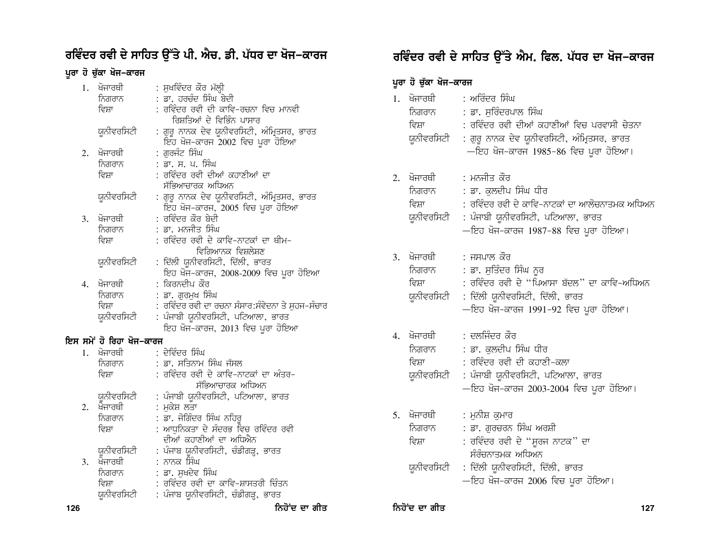## ਰਵਿੰਦਰ ਰਵੀ ਦੇ ਸਾਹਿਤ ਉੱਤੇ ਪੀ. ਐਚ. ਡੀ. ਪੱਧਰ ਦਾ ਖੋਜ–ਕਾਰਜ

## ਪੂਰਾ ਹੋ ਚੁੱਕਾ ਖੋਜ−ਕਾਰਜ

| 1. | ਖੋਜਾਰਥੀ                  | : ਸੁਖਵਿੰਦਰ ਕੌਰ ਮੱਲ੍ਹੀ                          |
|----|--------------------------|------------------------------------------------|
|    | ਨਿਗਰਾਨ                   | : ਡਾ. ਹਰਚੰਦ ਸਿੰਘ ਬੇਦੀ                          |
|    | ਵਿਸ਼ਾ                    | : ਰਵਿੰਦਰ ਰਵੀ ਦੀ ਕਾਵਿ–ਰਚਨਾ ਵਿਚ ਮਾਨਵੀ            |
|    |                          | ਰਿਸ਼ਤਿਆਂ ਦੇ ਵਿਭਿੰਨ ਪਾਸਾਰ                       |
|    | ਯੁਨੀਵਰਸਿਟੀ               | : ਗੁਰੂ ਨਾਨਕ ਦੇਵ ਯੂਨੀਵਰਸਿਟੀ, ਅੰਮ੍ਰਿਤਸਰ, ਭਾਰਤ    |
|    |                          | ਇਹ ਖੋਜ-ਕਾਰਜ 2002 ਵਿਚ ਪੂਰਾ ਹੋਇਆ                 |
|    |                          |                                                |
| 2. | ਖੋਜਾਰਥੀ                  | : ਗੁਰਜੰਟ ਸਿੰਘ                                  |
|    | ਨਿਗਰਾਨ                   | : ਡਾ. ਸ. ਪ. ਸਿੰਘ                               |
|    | ਵਿਸ਼ਾ                    | : ਰਵਿੰਦਰ ਰਵੀ ਦੀਆਂ ਕਹਾਣੀਆਂ ਦਾ                   |
|    |                          | ਸੱਭਿਆਚਾਰਕ ਅਧਿਅਨ                                |
|    | ਯੁਨੀਵਰਸਿਟੀ               | : ਗੁਰੂ ਨਾਨਕ ਦੇਵ ਯੂਨੀਵਰਸਿਟੀ, ਅੰਮ੍ਰਿਤਸਰ, ਭਾਰਤ    |
|    |                          | <sub>ਇੱਹ</sub> ਖੋਜ−ਕਾਰਜ, 2005 ਵਿਚ ਪੂਰਾ ਹੋਇਆ    |
| 3. | ਖੋਜਾਰਥੀ                  | : ਰਵਿੰਦਰ ਕੌਰ ਬੇਦੀ                              |
|    | ਨਿਗਰਾਨ                   | : ਡਾ. ਮਨਜੀਤ ਸਿੰਘ                               |
|    | ਵਿਸ਼ਾ                    | : ਰਵਿੰਦਰ ਰਵੀ ਦੇ ਕਾਵਿ–ਨਾਟਕਾਂ ਦਾ ਥੀਮ–            |
|    |                          | ਵਿਗਿਆਨਕ ਵਿਸ਼ਲੇਸ਼ਣ                              |
|    | ਯੁਨੀਵਰਸਿਟੀ               | : ਦਿੱਲੀ ਯੂਨੀਵਰਸਿਟੀ, ਦਿੱਲੀ, ਭਾਰਤ                |
|    |                          | ਇਹ ਖੋਜ-ਕਾਰਜ, 2008-2009 ਵਿਚ ਪੁਰਾ ਹੋਇਆ           |
| 4. | ਖੋਜਾਰਥੀ                  | : ਕਿਰਨਦੀਪ ਕੌਰ                                  |
|    | ਨਿਗਰਾਨ                   | : ਡਾ. ਗੁਰਮੁਖ ਸਿੰਘ                              |
|    | ਵਿਸ਼ਾ                    | ਰਵਿੰਦਰ ਰਵੀ ਦਾ ਰਚਨਾ ਸੰਸਾਰ:ਸੰਵੇਦਨਾ ਤੇ ਸੁਹਜ−ਸੰਚਾਰ |
|    | ਯੁਨੀਵਰਸਿਟੀ               | : ਪੰਜਾਬੀ ਯੂਨੀਵਰਸਿਟੀ, ਪਟਿਆਲਾ, ਭਾਰਤ              |
|    |                          | ਇਹ ਖੋਜ-ਕਾਰਜ, 2013 ਵਿਚ ਪੂਰਾ ਹੋਇਆ                |
|    | ਇਸ ਸਮੇਂ ਹੋ ਰਿਹਾ ਖੋਜ–ਕਾਰਜ |                                                |
| 1. | ਖੋਜਾਰਥੀ                  | : ਦੇਵਿੰਦਰ ਸਿੰਘ                                 |
|    |                          | : ਡਾ. ਸਤਿਨਾਮ ਸਿੰਘ ਜੱਸਲ                         |
|    | ਨਿਗਰਾਨ<br>ਵਿਸ਼ਾ          | : ਰਵਿੰਦਰ ਰਵੀ ਦੇ ਕਾਵਿ-ਨਾਟਕਾਂ ਦਾ ਅੰਤਰ-           |
|    |                          |                                                |
|    |                          | ਸੱਭਿਆਚਾਰਕ ਅਧਿਅਨ                                |
|    | ਯੁਨੀਵਰਸਿਟੀ               | : ਪੰਜਾਬੀ ਯੂਨੀਵਰਸਿਟੀ, ਪਟਿਆਲਾ, ਭਾਰਤ              |
| 2. | ਖੋਜਾਰਥੀ                  | : ਮਕੇਸ਼ ਲਤਾ                                    |
|    | ਨਿਗਰਾਨ                   | : ਡਾ. ਜੋਗਿੰਦਰ ਸਿੰਘ ਨਹਿਰ                        |
|    | ਵਿਸ਼ਾ                    | : ਆਧਨਿਕਤਾ ਦੇ ਸੰਦਰਭ ਵਿਚ ਰਵਿੰਦਰ ਰਵੀ              |
|    |                          | ਦੀਆਂ ਕਹਾਣੀਆਂ ਦਾ ਅਧਿਐਨ                          |
|    | ਯੂਨੀਵਰਸਿਟੀ               | : ਪੰਜਾਬ ਯੂਨੀਵਰਸਿਟੀ, ਚੰਡੀਗੜ੍ਹ, ਭਾਰਤ             |
| 3. | ਖੋਜਾਰਥੀ                  | : ਨਾਨਕ ਸਿੰਘ                                    |
|    | ਨਿਗਰਾਨ                   | : ਡਾ. ਸੁਖਦੇਵ ਸਿੰਘ                              |
|    | ਵਿਸ਼ਾ                    | : ਰਵਿੰਦਰ ਰਵੀ ਦਾ ਕਾਵਿ-ਸ਼ਾਸਤਰੀ ਚਿੰਤਨ             |
|    | ਯੁਨੀਵਰਸਿਟੀ               | : ਪੰਜਾਬ ਯੂਨੀਵਰਸਿਟੀ, ਚੰਡੀਗੜ੍ਹ, ਭਾਰਤ             |
|    |                          |                                                |

# ਰਵਿੰਦਰ ਰਵੀ ਦੇ ਸਾਹਿਤ ਉੱਤੇ ਐਮ. ਫਿਲ. ਪੱਧਰ ਦਾ ਖੋਜ–ਕਾਰਜ

### ਪੂਰਾ ਹੋ ਚੁੱਕਾ ਖੋਜ–ਕਾਰਜ

| 1. | ਖੋਜਾਰਥੀ<br>ਵਿਸ਼ਾ<br>ਯੂਨੀਵਰਸਿਟੀ           | : ਅਰਿੰਦਰ ਸਿੰਘ<br>ਨਿਗਰਾਨ : ਡਾ. ਸੁਰਿੰਦਰਪਾਲ ਸਿੰਘ<br>: ਰਵਿੰਦਰ ਰਵੀ ਦੀਆਂ ਕਹਾਣੀਆਂ ਵਿਚ ਪਰਵਾਸੀ ਚੇਤਨਾ<br>: ਗੁਰੂ ਨਾਨਕ ਦੇਵ ਯੂਨੀਵਰਸਿਟੀ, ਅੰਮ੍ਰਿਤਸਰ, ਭਾਰਤ<br>—ਇਹ ਖੋਜ-ਕਾਰਜ 1985-86 ਵਿਚ ਪੂਰਾ ਹੋਇਆ।         |
|----|------------------------------------------|-------------------------------------------------------------------------------------------------------------------------------------------------------------------------------------------|
|    | 2. ਖੋਜਾਰਥੀ<br>ਨਿਗਰਾਨ<br>ਵਿਸ਼ਾ            | : ਮਨਜੀਤ ਕੌਰ<br>: ਡਾ. ਕਲਦੀਪ ਸਿੰਘ ਧੀਰ<br>: ਰਵਿੰਦਰ ਰਵੀ ਦੇ ਕਾਵਿ-ਨਾਟਕਾਂ ਦਾ ਆਲੋਚਨਾਤਮਕ ਅਧਿਅਨ<br>ਯੂਨੀਵਰਸਿਟੀ : ਪੰਜਾਬੀ ਯੂਨੀਵਰਸਿਟੀ, ਪਟਿਆਲਾ, ਭਾਰਤ<br>—ਇਹ ਖੋਜ-ਕਾਰਜ 1987-88 ਵਿਚ ਪੂਰਾ ਹੋਇਆ।              |
| 3. | ਵਿਸ਼ਾ                                    | ਖੋਜਾਰਥੀ : ਜਸਪਾਲ ਕੌਰ<br>ਨਿਗਰਾਨ : ਡਾ. ਸੁਤਿੰਦਰ ਸਿੰਘ ਨੂਰ<br>: ਰਵਿੰਦਰ ਰਵੀ ਦੇ ''ਪਿਆਸਾ ਬੱਦਲ'' ਦਾ ਕਾਵਿ-ਅਧਿਅਨ<br>ਯੂਨੀਵਰਸਿਟੀ : ਦਿੱਲੀ ਯੂਨੀਵਰਸਿਟੀ, ਦਿੱਲੀ, ਭਾਰਤ<br>—ਇਹ ਖੋਜ-ਕਾਰਜ 1991-92 ਵਿਚ ਪੂਰਾ ਹੋਇਆ। |
| 4. | ਖੋਜਾਰਥੀ<br>ਵਿਸ਼ਾ<br>ਯੂਨੀਵਰਸਿਟੀ           | : ਦਲਜਿੰਦਰ ਕੌਰ<br>ਨਿਗਰਾਨ : ਡਾ. ਕੁਲਦੀਪ ਸਿੰਘ ਧੀਰ<br>: ਰਵਿੰਦਰ ਰਵੀ ਦੀ ਕਹਾਣੀ-ਕਲਾ<br>: ਪੰਜਾਬੀ ਯੂਨੀਵਰਸਿਟੀ, ਪਟਿਆਲਾ, ਭਾਰਤ<br>—ਇਹ ਖੋਜ-ਕਾਰਜ 2003-2004 ਵਿਚ ਪੂਰਾ ਹੋਇਆ।                                  |
| 5. | ਖੋਜਾਰਥੀ<br>ਨਿਗਰਾਨ<br>ਵਿਸ਼ਾ<br>ਯੁਨੀਵਰਸਿਟੀ | : ਮਨੀਸ਼ ਕਮਾਰ<br>: ਡਾ. ਗੁਰਚਰਨ ਸਿੰਘ ਅਰਸ਼ੀ<br>: ਰਵਿੰਦਰ ਰਵੀ ਦੇ "ਸੂਰਜ ਨਾਟਕ" ਦਾ<br>ਸੰਰੰਚਨਾਤਮਕ ਅਧਿਅਨ<br>: ਦਿੱਲੀ ਯੂਨੀਵਰਸਿਟੀ, ਦਿੱਲੀ, ਭਾਰਤ<br>—ਇਹ ਖੋਜ-ਕਾਰਜ 2006 ਵਿਚ ਪੂਰਾ ਹੋਇਆ।                      |

ਨਿਹੋਂਦ ਦਾ ਗੀਤ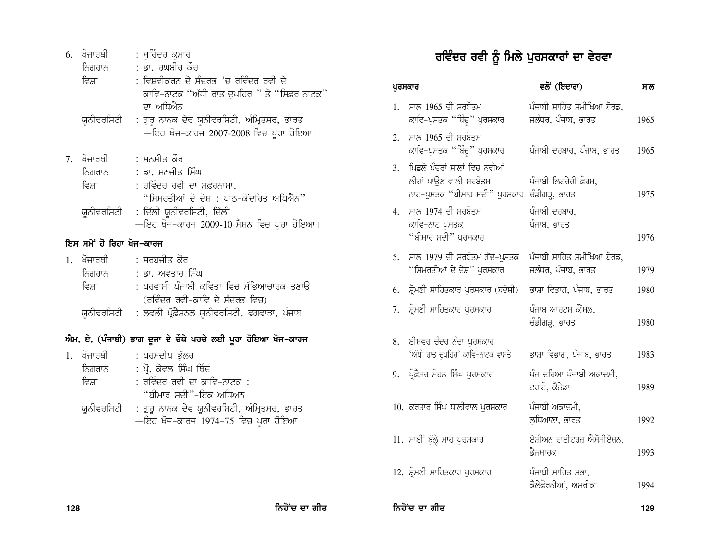| 6. |                          | ਖੋਜਾਰਥੀ         : ਸੁਰਿੰਦਰ ਕਮਾਰ<br>ਨਿਗਰਾਨ : ਡਾ. ਰਘਬੀਰ ਕੌਰ<br>: ਵਿਸ਼ਵੀਕਰਨ ਦੇ ਸੰਦਰਭ 'ਚ ਰਵਿੰਦਰ ਰਵੀ ਦੇ                 |    |                                 |
|----|--------------------------|-------------------------------------------------------------------------------------------------------------------|----|---------------------------------|
|    | ਵਿਸ਼ਾ                    | ਕਾਵਿ-ਨਾਟਕ "ਅੱਧੀ ਰਾਤ ਦੁਪਹਿਰ " ਤੇ "ਸਿਫ਼ਰ ਨਾਟਕ"                                                                      |    | ਪੁਰਸਕਾਰ                         |
|    |                          | ਦਾ ਅਧਿਐਨ<br>ਯੂਨੀਵਰਸਿਟੀ  : ਗੁਰੂ ਨਾਨਕ ਦੇਵ ਯੂਨੀਵਰਸਿਟੀ, ਅੰਮ੍ਰਿਤਸਰ, ਭਾਰਤ                                               | 1. | ਸਾਲ 19<br>ਕਾਵਿ-ਪੁ               |
|    |                          | —ਇਹ ਖੋਜ-ਕਾਰਜ 2007-2008 ਵਿਚ ਪੂਰਾ ਹੋਇਆ।                                                                             | 2. | ਸਾਲ 19<br>ਕਾਵਿ-ਪ                |
|    | ਨਿਗਰਾਨ<br>ਵਿਸ਼ਾ          | 7. ਖੋਜਾਰਥੀ : ਮਨਮੀਤ ਕੌਰ<br>: ਡਾ. ਮਨਜੀਤ ਸਿੰਘ<br>: ਰਵਿੰਦਰ ਰਵੀ ਦਾ ਸਫ਼ਰਨਾਮਾ,<br>"ਸਿਮਰਤੀਆਂ ਦੇ ਦੇਸ਼ : ਪਾਠ-ਕੇਂਦਰਿਤ ਅਧਿਐਨ" | 3. | ਪਿਛਲੇ ਪੰ<br>ਲੀਹਾਂ ਪਾ<br>ਨਾਟ-ਪੁਸ |
|    | ਯੁਨੀਵਰਸਿਟੀ               | : ਦਿੱਲੀ ਯੂਨੀਵਰਸਿਟੀ, ਦਿੱਲੀ<br>—ਇਹ ਖੋਜ-ਕਾਰਜ 2009-10 ਸੈਸ਼ਨ ਵਿਚ ਪੂਰਾ ਹੋਇਆ।                                            | 4. | ਸਾਲ 19<br>ਕਾਵਿ-ਨ<br>"ਬੀਮਾਰ      |
|    | ਇਸ ਸਮੇਂ ਹੋ ਰਿਹਾ ਖੋਜ–ਕਾਰਜ |                                                                                                                   |    |                                 |
|    |                          | 1. ਖੋਜਾਰਥੀ   : ਸਰਬਜੀਤ ਕੌਰ<br>ਨਿਗਰਾਨ : ਡਾ. ਅਵਤਾਰ ਸਿੰਘ                                                              | 5. | ਸਾਲ 19<br>"ਸਿਮਰ-                |
|    | ਵਿਸ਼ਾ                    | : ਪਰਵਾਸੀ ਪੰਜਾਬੀ ਕਵਿਤਾ ਵਿਚ ਸੱਭਿਆਚਾਰਕ ਤਣਾਉ<br>(ਰਵਿੰਦਰ ਰਵੀ-ਕਾਵਿ ਦੇ ਸੰਦਰਭ ਵਿਚ)                                        | 6. | ਸ਼੍ਰੋਮਣੀ ਸ                      |
|    |                          | ਯੂਨੀਵਰਸਿਟੀ : ਲਵਲੀ ਪ੍ਰੋਫ਼ੈਸ਼ਨਲ ਯੂਨੀਵਰਸਿਟੀ, ਫਗਵਾੜਾ, ਪੰਜਾਬ                                                           |    | 7. ਸ਼੍ਰੋਮਣੀ ਸ                   |
|    |                          | ਐਮ. ਏ. (ਪੰਜਾਬੀ) ਭਾਗ ਦੂਜਾ ਦੇ ਚੌਥੇ ਪਰਚੇ ਲਈ ਪੂਰਾ ਹੋਇਆ ਖੋਜ–ਕਾਰਜ                                                       | 8. | ਈਸ਼ਵਰ                           |
|    |                          | 1. ਖੋਜਾਰਥੀ   : ਪਰਮਦੀਪ ਭੁੱਲਰ                                                                                       |    | 'ਅੱਧੀ ਰਾ                        |
|    | ਵਿਸ਼ਾ                    | ਨਿਗਰਾਨ : ਪ੍ਰੋ. ਕੇਵਲ ਸਿੰਘ ਥਿੰਦ<br>: ਰਵਿੰਦਰ ਰਵੀ ਦਾ ਕਾਵਿ-ਨਾਟਕ :<br>"ਬੀਮਾਰ ਸਦੀ"-ਇਕ ਅਧਿਅਨ                              |    | 9. ਪ੍ਰੋਫ਼ੈਸਰ ਮ                  |
|    |                          | ਯੂਨੀਵਰਸਿਟੀ : ਗੁਰੂ ਨਾਨਕ ਦੇਵ ਯੂਨੀਵਰਸਿਟੀ, ਅੰਮ੍ਰਿਤਸਰ, ਭਾਰਤ<br>—ਇਹ ਖੋਜ–ਕਾਰਜ 1974–75 ਵਿਚ ਪੂਰਾ ਹੋਇਆ।                     |    | $10.$ ਕਰਤਾਰ                     |
|    |                          |                                                                                                                   |    | 11. ਸਾਈਂ ਬੁੱ                    |
|    |                          |                                                                                                                   |    | $12 \div 7$                     |

# ਰਵਿੰਦਰ ਰਵੀ ਨੂੰ ਮਿਲੇ ਪੁਰਸਕਾਰਾਂ ਦਾ ਵੇਰਵਾ

| ਪੁਰਸਕਾਰ |                                                                                           | ਵਲੋਂ (ਇਦਾਰਾ)                                    | ਸਾਲ  |
|---------|-------------------------------------------------------------------------------------------|-------------------------------------------------|------|
| 1.      | ਸਾਲ 1965 ਦੀ ਸਰਬੋਤਮ<br>ਕਾਵਿ-ਪੁਸਤਕ ''ਬਿੰਦੂ'' ਪੁਰਸਕਾਰ                                        | ਪੰਜਾਬੀ ਸਾਹਿਤ ਸਮੀਖਿਆ ਬੋਰਡ,<br>ਜਲੰਧਰ, ਪੰਜਾਬ, ਭਾਰਤ | 1965 |
| 2.      | ਸਾਲ 1965 ਦੀ ਸਰਬੋਤਮ<br>ਕਾਵਿ-ਪੁਸਤਕ "ਬਿੰਦੁ" ਪੁਰਸਕਾਰ                                          | ਪੰਜਾਬੀ ਦਰਬਾਰ, ਪੰਜਾਬ, ਭਾਰਤ                       | 1965 |
| 3.      | ਪਿਛਲੇ ਪੰਦਰਾਂ ਸਾਲਾਂ ਵਿਚ ਨਵੀਆਂ<br>ਲੀਹਾਂ ਪਾਉਣ ਵਾਲੀ ਸਰਬੋਤਮ<br>ਨਾਟ-ਪੁਸਤਕ ''ਬੀਮਾਰ ਸਦੀ'' ਪੁਰਸਕਾਰ | ਪੰਜਾਬੀ ਲਿਟਰੇਰੀ ਫ਼ੋਰਮ,<br>ਚੰਡੀਗੜ੍ਹ, ਭਾਰਤ         | 1975 |
| 4.      | ਸਾਲ 1974 ਦੀ ਸਰਬੋਤਮ<br>ਕਾਵਿ-ਨਾਟ ਪੁਸਤਕ<br>"ਬੀਮਾਰ ਸਦੀ" ਪੁਰਸਕਾਰ                               | ਪੰਜਾਬੀ ਦਰਬਾਰ,<br>ਪੰਜਾਬ, ਭਾਰਤ                    | 1976 |
| 5.      | ਸਾਲ 1979 ਦੀ ਸਰਬੋਤਮ ਗੱਦ-ਪੁਸਤਕ<br>"ਸਿਮਰਤੀਆਂ ਦੇ ਦੇਸ਼" ਪਰਸਕਾਰ                                 | ਪੰਜਾਬੀ ਸਾਹਿਤ ਸਮੀਖਿਆ ਬੋਰਡ,<br>ਜਲੰਧਰ, ਪੰਜਾਬ, ਭਾਰਤ | 1979 |
| 6.      | ਸ਼੍ਰੋਮਣੀ ਸਾਹਿਤਕਾਰ ਪਰਸਕਾਰ (ਬਦੇਸ਼ੀ)                                                         | ਭਾਸ਼ਾ ਵਿਭਾਗ, ਪੰਜਾਬ, ਭਾਰਤ                        | 1980 |
| 7.      | ਸ਼੍ਰੋਮਣੀ ਸਾਹਿਤਕਾਰ ਪੁਰਸਕਾਰ                                                                 | ਪੰਜਾਬ ਆਰਟਸ ਕੌਂਸਲ,<br>ਚੰਡੀਗੜ੍ਹ, ਭਾਰਤ             | 1980 |
| 8.      | ਈਸ਼ਵਰ ਚੰਦਰ ਨੰਦਾ ਪੁਰਸਕਾਰ<br>'ਅੱਧੀ ਰਾਤ ਦੁਪਹਿਰ' ਕਾਵਿ-ਨਾਟਕ ਵਾਸਤੇ                              | ਭਾਸ਼ਾ ਵਿਭਾਗ, ਪੰਜਾਬ, ਭਾਰਤ                        | 1983 |
| 9.      | ਪ੍ਰੋਫ਼ੈਸਰ ਮੋਹਨ ਸਿੰਘ ਪੁਰਸਕਾਰ                                                               | ਪੰਜ ਦਰਿਆ ਪੰਜਾਬੀ ਅਕਾਦਮੀ,<br>ਟਰਾਂਟੋ, ਕੈਨੇਡਾ       | 1989 |
|         | 10. ਕਰਤਾਰ ਸਿੰਘ ਧਾਲੀਵਾਲ ਪਰਸਕਾਰ                                                             | ਪੰਜਾਬੀ ਅਕਾਦਮੀ,<br>ਲੁਧਿਆਣਾ, ਭਾਰਤ                 | 1992 |
|         | 11. ਸਾਈਂ ਬੁੱਲ੍ਹੇ ਸ਼ਾਹ ਪੁਰਸਕਾਰ                                                             | ਏਸ਼ੀਅਨ ਰਾਈਟਰਜ਼ ਐਸੋਸੀਏਸ਼ਨ,<br>ਡੈਨਮਾਰਕ            | 1993 |
|         | 12. ਸ਼੍ਰੋਮਣੀ ਸਾਹਿਤਕਾਰ ਪੁਰਸਕਾਰ                                                             | ਪੰਜਾਬੀ ਸਾਹਿਤ ਸਭਾ,<br>ਕੈਲੇਫੋਰਨੀਆਂ, ਅਮਰੀਕਾ        | 1994 |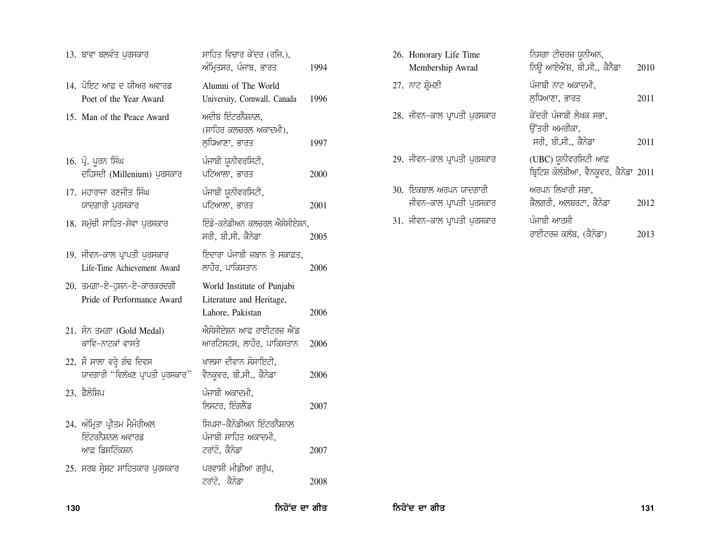| 13. ਬਾਵਾ ਬਲਵੰਤ ਪੁਰਸਕਾਰ                                             | ਸਾਹਿਤ ਵਿਚਾਰ ਕੇਂਦਰ (ਰਜਿ.),<br>ਅੰਮ੍ਰਿਤਸਰ, ਪੰਜਾਬ, ਭਾਰਤ                        | 1994 |
|--------------------------------------------------------------------|----------------------------------------------------------------------------|------|
| 14. ਪੋਇਟ ਆਫ਼ ਦ ਯੀਅਰ ਅਵਾਰਡ<br>Poet of the Year Award                | Alumni of The World<br>University, Cornwall, Canada                        | 1996 |
| 15. Man of the Peace Award                                         | ਅਦੀਬ ਇੰਟਰਨੈਸ਼ਨਲ,<br>(ਸਾਹਿਰ ਕਲਚਰਲ ਅਕਾਦਮੀ),<br>ਲਧਿਆਣਾ, ਭਾਰਤ                  | 1997 |
| 16. ਪ੍ਰੋ. ਪੂਰਨ ਸਿੰਘ<br>ਦਹਿਸਦੀ (Millenium) ਪੁਰਸਕਾਰ                  | ਪੰਜਾਬੀ ਯੂਨੀਵਰਸਿਟੀ,<br>ਪਟਿਆਲਾ, ਭਾਰਤ                                         | 2000 |
| 17. ਮਹਾਰਾਜਾ ਰਣਜੀਤ ਸਿੰਘ<br>ਯਾਦਗਾਰੀ ਪੁਰਸਕਾਰ                          | ਪੰਜਾਬੀ ਯੂਨੀਵਰਸਿਟੀ,<br>ਪਟਿਆਲਾ, ਭਾਰਤ                                         | 2001 |
| 18. ਸਮੁੱਚੀ ਸਾਹਿਤ-ਸੇਵਾ ਪੁਰਸਕਾਰ                                      | ਇੰਡੋ-ਕਨੇਡੀਅਨ ਕਲਚਰਲ ਐਸੋਸੀਏਸ਼ਨ,<br>ਸਰੀ, ਬੀ.ਸੀ. ਕੈਨੇਡਾ                        | 2005 |
| 19. ਜੀਵਨ-ਕਾਲ ਪ੍ਰਾਪਤੀ ਪੁਰਸਕਾਰ<br>Life-Time Achievement Award        | ਇਦਾਰਾ ਪੰਜਾਬੀ ਜ਼ਬਾਨ ਤੇ ਸਕਾਫ਼ਤ,<br>ਲਾਹੌਰ, ਪਾਕਿਸਤਾਨ                           | 2006 |
| 20. ਤਮਗ਼ਾ-ਏ-ਹੁਸਨ-ਏ-ਕਾਰਕਰਦਗੀ<br>Pride of Performance Award          | World Institute of Punjabi<br>Literature and Heritage,<br>Lahore, Pakistan | 2006 |
| 21. ਸੋਨ ਤਮਗ਼ਾ (Gold Medal)<br>ਕਾਵਿ-ਨਾਟਕਾਂ ਵਾਸਤੇ                    | ਐਸੋਸੀਏਸ਼ਨ ਆਫ ਰਾਈਟਰਜ਼ ਐਂਡ<br>ਆਰਟਿਸਟਸ, ਲਾਹੌਰ, ਪਾਕਿਸਤਾਨ                       | 2006 |
| 22. ਸੌ ਸਾਲਾ ਵਰ੍ਹੇ ਗੰਢ ਦਿਵਸ<br>ਯਾਦਗਾਰੀ "ਵਿਲੱਖਣ ਪ੍ਰਾਪਤੀ ਪਰਸਕਾਰ"      | ਖਾਲਸਾ ਦੀਵਾਨ ਸੋਸਾਇਟੀ,<br>ਵੈਨਕੁਵਰ, ਬੀ.ਸੀ., ਕੈਨੇਡਾ                            | 2006 |
| 23. ਫੈਲੋਸ਼ਿਪ                                                       | ਪੰਜਾਬੀ ਅਕਾਦਮੀ,<br>ਲਿਸਟਰ, ਇੰਗਲੈਂਡ                                           | 2007 |
| 24. ਅੰਮ੍ਰਿਤਾ ਪ੍ਰੀਤਮ ਮੈਮੋਰੀਅਲ<br>ਇੰਟਰਨੈਸ਼ਨਲ ਅਵਾਰਡ<br>ਆਫ਼ ਡਿਸਟਿੰਕਸ਼ਨ | ਸਿਪਸਾ–ਕੈਨੇਡੀਅਨ ਇੰਟਰਨੈਸ਼ਨਲ<br>ਪੰਜਾਬੀ ਸਾਹਿਤ ਅਕਾਦਮੀ,<br>ਟਰਾਂਟੋ, ਕੈਨੇਡਾ        | 2007 |
| 25. ਸਰਬ ਸ੍ਰੇਸ਼ਟ ਸਾਹਿਤਕਾਰ ਪੁਰਸਕਾਰ                                   | ਪਰਵਾਸੀ ਮੀਡੀਆ ਗਰੁੱਪ,<br>ਟਰਾਂਟੋ, ਕੈਨੇਡਾ                                      | 2008 |

| 26. Honorary Life Time<br>Membership Awrad         | ਨਿਸਗਾ ਟੀਚਰਜ਼ ਯੂਨੀਅਨ,<br>ਨਿਊ ਆਏਐਂਸ਼, ਬੀ.ਸੀ., ਕੈਨੈਡਾ                      | 2010 |
|----------------------------------------------------|-------------------------------------------------------------------------|------|
| 27. ਨਾਟ ਸ਼੍ਰੋਮਣੀ                                   | ਪੰਜਾਬੀ ਨਾਟ ਅਕਾਦਮੀ,<br>ਲਧਿਆਣਾ, ਭਾਰਤ                                      | 2011 |
| 28. ਜੀਵਨ-ਕਾਲ ਪ੍ਰਾਪਤੀ ਪਰਸਕਾਰ                        | ਕੇਂਦਰੀ ਪੰਜਾਬੀ ਲੇਖਕ ਸਭਾ,<br>ਉੱਤਰੀ ਅਮਰੀਕਾ <u>,</u><br>ਸਰੀ, ਬੀ.ਸੀ., ਕੈਨੇਡਾ | 2011 |
| 29. ਜੀਵਨ-ਕਾਲ ਪ੍ਰਾਪਤੀ ਪੁਰਸਕਾਰ                       | (UBC) ਯੂਨੀਵਰਸਿਟੀ ਆਫ਼<br>ਬ੍ਰਿਟਿਸ਼ ਕੋਲੰਬੀਆ, ਵੈਨਕੁਵਰ, ਕੈਨੇਡਾ 2011          |      |
| 30. ਇਕਬਾਲ ਅਰਪਨ ਯਾਦਗਾਰੀ<br>ਜੀਵਨ-ਕਾਲ ਪ੍ਰਾਪਤੀ ਪੁਰਸਕਾਰ | ਅਰਪਨ ਲਿਖਾਰੀ ਸਭਾ,<br>ਕੈਲਗਰੀ, ਅਲਬਰਟਾ, ਕੈਨੇਡਾ                              | 2012 |
| 31. ਜੀਵਨ-ਕਾਲ ਪ੍ਰਾਪਤੀ ਪੁਰਸਕਾਰ                       | ਪੰਜਾਬੀ ਆਰਸੀ<br>ਰਾਈਟਰਜ਼ ਕਲੱਬ, (ਕੈਨੇਡਾ)                                   | 2013 |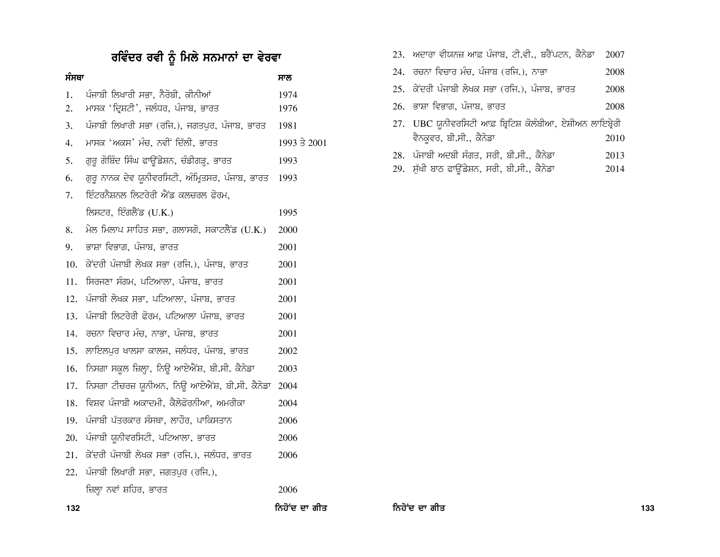# ਰਵਿੰਦਰ ਰਵੀ ਨੂੰ ਮਿਲੇ ਸਨਮਾਨਾਂ ਦਾ ਵੇਰਵਾ

| ਸੰਸਥਾ |                                                  | ਸਾਲ          |
|-------|--------------------------------------------------|--------------|
| 1.    | ਪੰਜਾਬੀ ਲਿਖਾਰੀ ਸਭਾ, ਨੈਰੋਬੀ, ਕੀਨੀਆਂ                | 1974         |
| 2.    | ਮਾਸਕ 'ਦ੍ਰਿਸ਼ਟੀ', ਜਲੰਧਰ, ਪੰਜਾਬ, ਭਾਰਤ              | 1976         |
| 3.    | ਪੰਜਾਬੀ ਲਿਖਾਰੀ ਸਭਾ (ਰਜਿ.), ਜਗਤਪੁਰ, ਪੰਜਾਬ, ਭਾਰਤ    | 1981         |
| 4.    | ਮਾਸਕ 'ਅਕਸ' ਮੰਚ, ਨਵੀਂ ਦਿੱਲੀ, ਭਾਰਤ                 | 1993 ਤੇ 2001 |
| 5.    | ਗੁਰੂ ਗੋਬਿੰਦ ਸਿੰਘ ਫਾਊਂਡੇਸ਼ਨ, ਚੰਡੀਗੜ੍ਹ, ਭਾਰਤ       | 1993         |
| 6.    | ਗੁਰੂ ਨਾਨਕ ਦੇਵ ਯੂਨੀਵਰਸਿਟੀ, ਅੰਮ੍ਰਿਤਸਰ, ਪੰਜਾਬ, ਭਾਰਤ | 1993         |
| 7.    | ਇੰਟਰਨੈਸ਼ਨਲ ਲਿਟਰੇਰੀ ਐਂਡ ਕਲਚਰਲ ਫੋਰਮ,               |              |
|       | ਲਿਸਟਰ, ਇੰਗਲੈਂਡ (U.K.)                            | 1995         |
| 8.    | ਮੇਲ ਮਿਲਾਪ ਸਾਹਿਤ ਸਭਾ, ਗਲਾਸਗੋ, ਸਕਾਟਲੈਂਡ (U.K.)     | 2000         |
| 9.    | ਭਾਸ਼ਾ ਵਿਭਾਗ, ਪੰਜਾਬ, ਭਾਰਤ                         | 2001         |
| 10.   | ਕੇਂਦਰੀ ਪੰਜਾਬੀ ਲੇਖਕ ਸਭਾ (ਰਜਿ.), ਪੰਜਾਬ, ਭਾਰਤ       | 2001         |
| 11.   | ਸਿਰਜਣਾ ਸੰਗਮ, ਪਟਿਆਲਾ, ਪੰਜਾਬ, ਭਾਰਤ                 | 2001         |
| 12.   | ਪੰਜਾਬੀ ਲੇਖਕ ਸਭਾ, ਪਟਿਆਲਾ, ਪੰਜਾਬ, ਭਾਰਤ             | 2001         |
| 13.   | ਪੰਜਾਬੀ ਲਿਟਰੇਰੀ ਫੋਰਮ, ਪਟਿਆਲਾ ਪੰਜਾਬ, ਭਾਰਤ          | 2001         |
| 14.   | ਰਚਨਾ ਵਿਚਾਰ ਮੰਚ, ਨਾਭਾ, ਪੰਜਾਬ, ਭਾਰਤ                | 2001         |
| 15.   | ਲਾਇਲਪੁਰ ਖਾਲਸਾ ਕਾਲਜ, ਜਲੰਧਰ, ਪੰਜਾਬ, ਭਾਰਤ           | 2002         |
| 16.   | ਨਿਸਗਾ ਸਕੂਲ ਜ਼ਿਲ੍ਹਾ, ਨਿਊ ਆਏਐਂਸ਼, ਬੀ.ਸੀ. ਕੈਨੇਡਾ    | 2003         |
| 17.   | ਨਿਸਗਾ ਟੀਚਰਜ਼ ਯੂਨੀਅਨ, ਨਿਊ ਆਏਐਂਸ਼, ਬੀ.ਸੀ. ਕੈਨੇਡਾ   | 2004         |
| 18.   | ਵਿਸ਼ਵ ਪੰਜਾਬੀ ਅਕਾਦਮੀ, ਕੈਲੇਫੋਰਨੀਆ, ਅਮਰੀਕਾ          | 2004         |
| 19.   | ਪੰਜਾਬੀ ਪੱਤਰਕਾਰ ਸੰਸਥਾ, ਲਾਹੌਰ, ਪਾਕਿਸਤਾਨ            | 2006         |
| 20.   | ਪੰਜਾਬੀ ਯੂਨੀਵਰਸਿਟੀ, ਪਟਿਆਲਾ, ਭਾਰਤ                  | 2006         |
| 21.   | ਕੇਂਦਰੀ ਪੰਜਾਬੀ ਲੇਖਕ ਸਭਾ (ਰਜਿ.), ਜਲੰਧਰ, ਭਾਰਤ       | 2006         |
| 22.   | ਪੰਜਾਬੀ ਲਿਖਾਰੀ ਸਭਾ, ਜਗਤਪੁਰ (ਰਜਿ.),                |              |
|       | ਜ਼ਿਲ੍ਹਾ ਨਵਾਂ ਸ਼ਹਿਰ, ਭਾਰਤ                         | 2006         |

| 23. ਅਦਾਰਾ ਵੀਯਨਜ਼ ਆਫ਼ ਪੰਜਾਬ, ਟੀ.ਵੀ., ਬਰੈਂਪਟਨ, ਕੈਨੇਡਾ 2007  |      |
|-----------------------------------------------------------|------|
| 24. ਰਚਨਾ ਵਿਚਾਰ ਮੰਚ, ਪੰਜਾਬ (ਰਜਿ.), ਨਾਭਾ                    | 2008 |
| 25. ਕੇਂਦਰੀ ਪੰਜਾਬੀ ਲੇਖਕ ਸਭਾ (ਰਜਿ.), ਪੰਜਾਬ, ਭਾਰਤ            | 2008 |
| 26. ਭਾਸ਼ਾ ਵਿਭਾਗ, ਪੰਜਾਬ, ਭਾਰਤ                              | 2008 |
| 27. UBC ਯੂਨੀਵਰਸਿਟੀ ਆਫ਼ ਬ੍ਰਿਟਿਸ਼ ਕੋਲੰਬੀਆ, ਏਸ਼ੀਅਨ ਲਾਇਬ੍ਰੇਰੀ |      |
| ਵੈਨਕੁਵਰ, ਬੀ.ਸੀ., ਕੈਨੇਡਾ                                   | 2010 |
| 28. ਪੰਜਾਬੀ ਅਦਬੀ ਸੰਗਤ, ਸਰੀ, ਬੀ.ਸੀ., ਕੈਨੇਡਾ                 | 2013 |
| 29. ਸੁੱਖੀ ਬਾਠ ਫਾਉਂਡੇਸ਼ਨ, ਸਰੀ, ਬੀ.ਸੀ., ਕੈਨੇਡਾ              | 2014 |

132 ਕਿਹੋ ਦਾ ਗੀਤ ਵਿੱਚ ਸ਼ਹਿਰ ਵਿੱਚ ਸ਼ਹਿਰ ਵਿੱਚ ਸ਼ਹਿਰ ਵਿੱਚ ਸ਼ਹਿਰ ਵਿੱਚ ਸ਼ਹਿਰ ਵਿੱਚ ਸ਼ਹਿਰ ਵਿੱਚ ਸ਼ਹਿਰ ਵਿੱਚ ਸ਼ਹਿਰ ਵਿੱਚ ਸ<br>ਸ਼ਹਿਰ ਵਿੱਚ ਸ਼ਹਿਰ ਵਿੱਚ ਸ਼ਹਿਰ ਵਿੱਚ ਸ਼ਹਿਰ ਵਿੱਚ ਸ਼ਹਿਰ ਵਿੱਚ ਸ਼ਹਿਰ ਵਿੱਚ ਸ਼ਹਿਰ ਵਿੱਚ ਸ਼ਹਿਰ ਵਿੱਚ ਸ਼ਹਿਰ ਵਿੱਚ ਸ਼ਹਿਰ ਵਿੱਚ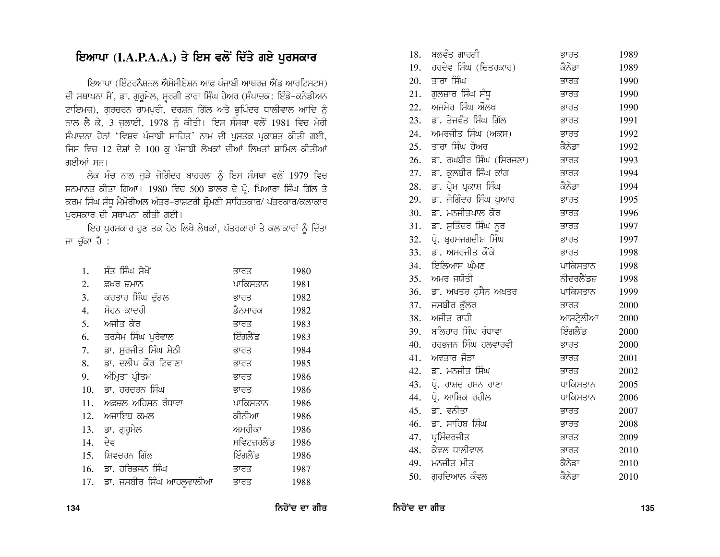## ਇਆਪਾ (I.A.P.A.A.) ਤੇ ਇਸ ਵਲੋਂ ਦਿੱਤੇ ਗਏ ਪੁਰਸਕਾਰ

ਇਆਪਾ (ਇੰਟਰਨੈਸ਼ਨਲ ਐਸੋਸੀਏਸ਼ਨ ਆਫ਼ ਪੰਜਾਬੀ ਆਥਰਜ਼ ਐਂਡ ਆਰਟਿਸਟਸ) ਦੀ ਸਥਾਪਨਾ ਮੈਂ, ਡਾ. ਗੁਰੁਮੇਲ, ਸੂਰਗੀ ਤਾਰਾ ਸਿੰਘ ਹੇਅਰ (ਸੰਪਾਦਕ: ਇੰਡੋ-ਕਨੇਡੀਅਨ ਟਾਇਮਜ਼), ਗੁਰਚਰਨ ਰਾਮਪੁਰੀ, ਦਰਸ਼ਨ ਗਿੱਲ ਅਤੇ ਭੁਪਿੰਦਰ ਧਾਲੀਵਾਲ ਆਦਿ ਨੂੰ ਨਾਲ ਲੈ ਕੇ, 3 ਜੁਲਾਈ, 1978 ਨੂੰ ਕੀਤੀ। ਇਸ ਸੰਸਥਾ ਵਲੋਂ 1981 ਵਿਚ ਮੇਰੀ ਸੰਪਾਦਨਾ ਹੇਠਾਂ 'ਵਿਸ਼ਵ ਪੰਜਾਬੀ ਸਾਹਿਤ' ਨਾਮ ਦੀ ਪੁਸਤਕ ਪ੍ਰਕਾਸ਼ਤ ਕੀਤੀ ਗਈ, ਜਿਸ ਵਿਚ 12 ਦੇਸ਼ਾਂ ਦੇ 100 ਕ ਪੰਜਾਬੀ ਲੇਖਕਾਂ ਦੀਆਂ ਲਿਖਤਾਂ ਸ਼ਾਮਿਲ ਕੀਤੀਆਂ ਗਈਆਂ ਸਨ।

ਲੋਕ ਮੰਚ ਨਾਲ ਜੁੜੇ ਜੋਗਿੰਦਰ ਬਾਹਰਲਾ ਨੂੰ ਇਸ ਸੰਸਥਾ ਵਲੋਂ 1979 ਵਿਚ ਸਨਮਾਨਤ ਕੀਤਾ ਗਿਆ। 1980 ਵਿਚ 500 ਡਾਲਰ ਦੇ ਪ੍ਰੋ. ਪਿਆਰਾ ਸਿੰਘ ਗਿੱਲ ਤੇ ਕਰਮ ਸਿੰਘ ਸੰਧੂ ਮੈਮੋਰੀਅਲ ਅੰਤਰ-ਰਾਸ਼ਟਰੀ ਸ਼੍ਰੋਮਣੀ ਸਾਹਿਤਕਾਰ/ ਪੱਤਰਕਾਰ/ਕਲਾਕਾਰ ਪਰਸਕਾਰ ਦੀ ਸਥਾਪਨਾ ਕੀਤੀ ਗਈ।

ਇਹ ਪੁਰਸਕਾਰ ਹੁਣ ਤਕ ਹੇਠ ਲਿਖੇ ਲੇਖਕਾਂ, ਪੱਤਰਕਾਰਾਂ ਤੇ ਕਲਾਕਾਰਾਂ ਨੂੰ ਦਿੱਤਾ ਜਾ ਚੁੱਕਾ ਹੈ :

| 1.  | ਸੰਤ ਸਿੰਘ ਸੇਖੋਂ           | ਭਾਰਤ        | 1980 |
|-----|--------------------------|-------------|------|
| 2.  | ਫ਼ਖਰ ਜ਼ਮਾਨ               | ਪਾਕਿਸਤਾਨ    | 1981 |
| 3.  | ਕਰਤਾਰ ਸਿੰਘ ਦੱਗਲ          | ਭਾਰਤ        | 1982 |
| 4.  | ਸੋਹਨ ਕਾਦਰੀ               | ਡੈਨਮਾਰਕ     | 1982 |
| 5.  | ਅਜੀਤ ਕੌਰ                 | ਭਾਰਤ        | 1983 |
| 6.  | ਤਰਸੇਮ ਸਿੰਘ ਪਰੇਵਾਲ        | ਇੰਗਲੈਂਡ     | 1983 |
| 7.  | ਡਾ. ਸਰਜੀਤ ਸਿੰਘ ਸੇਠੀ      | ਭਾਰਤ        | 1984 |
| 8.  | ਡਾ. ਦਲੀਪ ਕੌਰ ਟਿਵਾਣਾ      | ਭਾਰਤ        | 1985 |
| 9.  | ਅੰਮ੍ਰਿਤਾ ਪ੍ਰੀਤਮ          | ਭਾਰਤ        | 1986 |
| 10. | ਡਾ. ਹਰਚਰਨ ਸਿੰਘ           | ਭਾਰਤ        | 1986 |
| 11. | ਅਫ਼ਜ਼ਲ ਅਹਿਸਨ ਰੰਧਾਵਾ      | ਪਾਕਿਸਤਾਨ    | 1986 |
| 12. | ਅਜਾਇਬ ਕਮਲ                | ਕੀਨੀਆ       | 1986 |
| 13. | ਡਾ. ਗੁਰੂਮੇਲ              | ਅਮਰੀਕਾ      | 1986 |
| 14. | ਦੇਵ                      | ਸਵਿਟਜ਼ਰਲੈਂਡ | 1986 |
| 15. | ਸ਼ਿਵਚਰਨ ਗਿੱਲ             | ਇੰਗਲੈਂਡ     | 1986 |
| 16. | ਡਾ. ਹਰਿਭਜਨ ਸਿੰਘ          | ਭਾਰਤ        | 1987 |
| 17. | ਡਾ. ਜਸਬੀਰ ਸਿੰਘ ਆਹਲੁਵਾਲੀਆ | ਭਾਰਤ        | 1988 |

| 18. | ਬਲਵੰਤ ਗਾਰਗੀ             | ਭਾਰਤ       | 1989 |
|-----|-------------------------|------------|------|
| 19. | ਹਰਦੇਵ ਸਿੰਘ (ਚਿਤਰਕਾਰ)    | ਕੈਨੇਡਾ     | 1989 |
| 20. | ਤਾਰਾ ਸਿੰਘ               | ਭਾਰਤ       | 1990 |
| 21. | ਗੁਲਜ਼ਾਰ ਸਿੰਘ ਸੰਧੁ       | ਭਾਰਤ       | 1990 |
| 22. | ਅਜਮੇਰ ਸਿੰਘ ਔਲਖ          | ਭਾਰਤ       | 1990 |
| 23. | ਡਾ. ਤੇਜਵੰਤ ਸਿੰਘ ਗਿੱਲ    | ਭਾਰਤ       | 1991 |
| 24. | ਅਮਰਜੀਤ ਸਿੰਘ (ਅਕਸ)       | ਭਾਰਤ       | 1992 |
| 25. | ਤਾਰਾ ਸਿੰਘ ਹੇਅਰ          | ਕੈਨੇਡਾ     | 1992 |
| 26. | ਡਾ. ਰਘਬੀਰ ਸਿੰਘ (ਸਿਰਜਣਾ) | ਭਾਰਤ       | 1993 |
| 27. | ਡਾ. ਕਲਬੀਰ ਸਿੰਘ ਕਾਂਗ     | ਭਾਰਤ       | 1994 |
| 28. | ਡਾ. ਪ੍ਰੇਮ ਪ੍ਰਕਾਸ਼ ਸਿੰਘ  | ਕੈਨੇਡਾ     | 1994 |
| 29. | ਡਾ. ਜੋਗਿੰਦਰ ਸਿੰਘ ਪੁਆਰ   | ਭਾਰਤ       | 1995 |
| 30. | ਡਾ. ਮਨਜੀਤਪਾਲ ਕੌਰ        | ਭਾਰਤ       | 1996 |
| 31. | ਡਾ. ਸੁਤਿੰਦਰ ਸਿੰਘ ਨੂਰ    | ਭਾਰਤ       | 1997 |
| 32. | ਪ੍ਰੋ. ਬ੍ਰਹਮਜਗਦੀਸ਼ ਸਿੰਘ  | ਭਾਰਤ       | 1997 |
| 33. | ਡਾ. ਅਮਰਜੀਤ ਕੌਂਕੇ        | ਭਾਰਤ       | 1998 |
| 34. | ਇਲਿਆਸ ਘੁੰਮਣ             | ਪਾਕਿਸਤਾਨ   | 1998 |
| 35. | ਅਮਰ ਜਯੋਤੀ               | ਨੀਦਰਲੈਂਡਜ਼ | 1998 |
| 36. | ਡਾ. ਅਖਤਰ ਹੁਸੈਨ ਅਖਤਰ     | ਪਾਕਿਸਤਾਨ   | 1999 |
| 37. | ਜਸਬੀਰ ਭੁੱਲਰ             | ਭਾਰਤ       | 2000 |
| 38. | ਅਜੀਤ ਰਾਹੀ               | ਆਸਟ੍ਰੇਲੀਆ  | 2000 |
| 39. | ਬਲਿਹਾਰ ਸਿੰਘ ਰੰਧਾਵਾ      | ਇੰਗਲੈਂਡ    | 2000 |
| 40. | ਹਰਭਜਨ ਸਿੰਘ ਹਲਵਾਰਵੀ      | ਭਾਰਤ       | 2000 |
| 41. | ਅਵਤਾਰ ਜੌੜਾ              | ਭਾਰਤ       | 2001 |
| 42. | ਡਾ. ਮਨਜੀਤ ਸਿੰਘ          | ਭਾਰਤ       | 2002 |
| 43. | ਪ੍ਰੋ. ਰਾਸ਼ਦ ਹਸਨ ਰਾਣਾ    | ਪਾਕਿਸਤਾਨ   | 2005 |
| 44. | ਪ੍ਰੋ. ਆਸ਼ਿਕ ਰਹੀਲ        | ਪਾਕਿਸਤਾਨ   | 2006 |
| 45. | ਡਾ. ਵਨੀਤਾ               | ਭਾਰਤ       | 2007 |
| 46. | ਡਾ. ਸਾਹਿਬ ਸਿੰਘ          | ਭਾਰਤ       | 2008 |
|     | 47. ਪ੍ਰਮਿੰਦਰਜੀਤ         | ਭਾਰਤ       | 2009 |
|     | 48. ਕੇਵਲ ਧਾਲੀਵਾਲ        | ਭਾਰਤ       | 2010 |
| 49. | ਮਨਜੀਤ ਮੀਤ               | ਕੈਨੇਡਾ     | 2010 |
| 50. | ਗਰਦਿਆਲ ਕੰਵਲ             | ਕੈਨੇਡਾ     | 2010 |